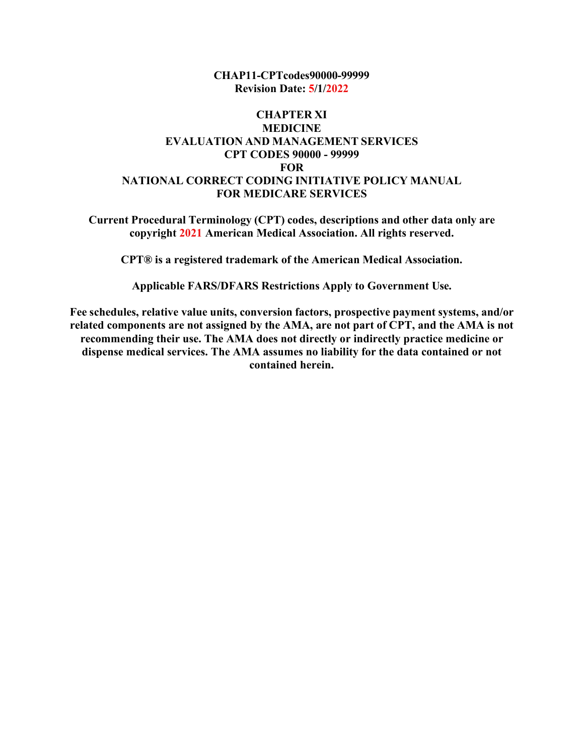**CHAP11-CPTcodes90000-99999 Revision Date: 5/1/2022**

#### **CHAPTER XI MEDICINE EVALUATION AND MANAGEMENT SERVICES CPT CODES 90000 - 99999 FOR NATIONAL CORRECT CODING INITIATIVE POLICY MANUAL FOR MEDICARE SERVICES**

**Current Procedural Terminology (CPT) codes, descriptions and other data only are copyright 2021 American Medical Association. All rights reserved.**

**CPT® is a registered trademark of the American Medical Association.**

**Applicable FARS/DFARS Restrictions Apply to Government Use.**

**Fee schedules, relative value units, conversion factors, prospective payment systems, and/or related components are not assigned by the AMA, are not part of CPT, and the AMA is not recommending their use. The AMA does not directly or indirectly practice medicine or dispense medical services. The AMA assumes no liability for the data contained or not contained herein.**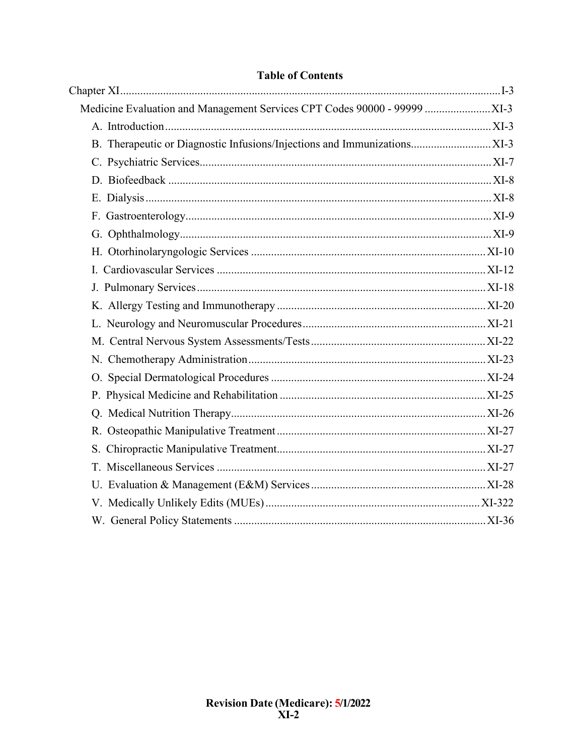| B. Therapeutic or Diagnostic Infusions/Injections and Immunizations XI-3 |  |
|--------------------------------------------------------------------------|--|
|                                                                          |  |
|                                                                          |  |
|                                                                          |  |
|                                                                          |  |
|                                                                          |  |
|                                                                          |  |
|                                                                          |  |
|                                                                          |  |
|                                                                          |  |
|                                                                          |  |
|                                                                          |  |
|                                                                          |  |
|                                                                          |  |
|                                                                          |  |
|                                                                          |  |
|                                                                          |  |
|                                                                          |  |
|                                                                          |  |
|                                                                          |  |
|                                                                          |  |
|                                                                          |  |

# **Table of Contents**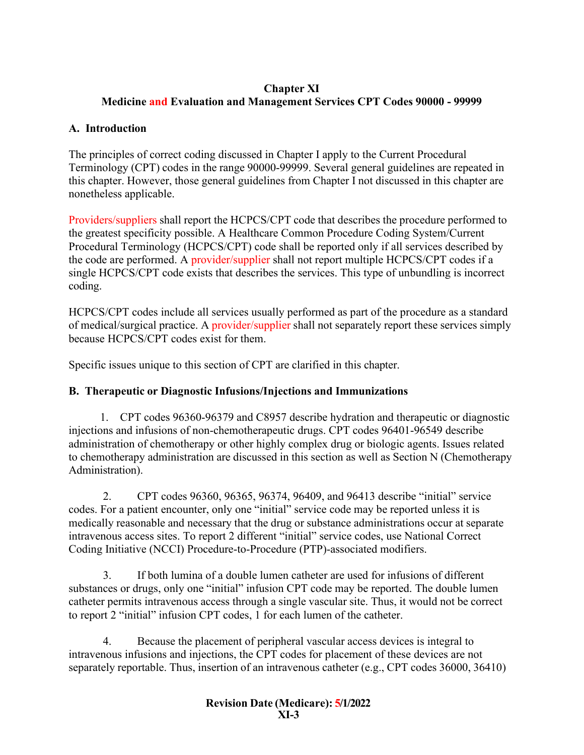## <span id="page-2-0"></span>**Chapter XI Medicine and Evaluation and Management Services CPT Codes 90000 - 99999**

## <span id="page-2-2"></span><span id="page-2-1"></span>**A. Introduction**

The principles of correct coding discussed in Chapter I apply to the Current Procedural Terminology (CPT) codes in the range 90000-99999. Several general guidelines are repeated in this chapter. However, those general guidelines from Chapter I not discussed in this chapter are nonetheless applicable.

Providers/suppliers shall report the HCPCS/CPT code that describes the procedure performed to the greatest specificity possible. A Healthcare Common Procedure Coding System/Current Procedural Terminology (HCPCS/CPT) code shall be reported only if all services described by the code are performed. A provider/supplier shall not report multiple HCPCS/CPT codes if a single HCPCS/CPT code exists that describes the services. This type of unbundling is incorrect coding.

HCPCS/CPT codes include all services usually performed as part of the procedure as a standard of medical/surgical practice. A provider/supplier shall not separately report these services simply because HCPCS/CPT codes exist for them.

Specific issues unique to this section of CPT are clarified in this chapter.

# <span id="page-2-3"></span>**B. Therapeutic or Diagnostic Infusions/Injections and Immunizations**

1. CPT codes 96360-96379 and C8957 describe hydration and therapeutic or diagnostic injections and infusions of non-chemotherapeutic drugs. CPT codes 96401-96549 describe administration of chemotherapy or other highly complex drug or biologic agents. Issues related to chemotherapy administration are discussed in this section as well as Section N (Chemotherapy Administration).

2. CPT codes 96360, 96365, 96374, 96409, and 96413 describe "initial" service codes. For a patient encounter, only one "initial" service code may be reported unless it is medically reasonable and necessary that the drug or substance administrations occur at separate intravenous access sites. To report 2 different "initial" service codes, use National Correct Coding Initiative (NCCI) Procedure-to-Procedure (PTP)-associated modifiers.

3. If both lumina of a double lumen catheter are used for infusions of different substances or drugs, only one "initial" infusion CPT code may be reported. The double lumen catheter permits intravenous access through a single vascular site. Thus, it would not be correct to report 2 "initial" infusion CPT codes, 1 for each lumen of the catheter.

4. Because the placement of peripheral vascular access devices is integral to intravenous infusions and injections, the CPT codes for placement of these devices are not separately reportable. Thus, insertion of an intravenous catheter (e.g., CPT codes 36000, 36410)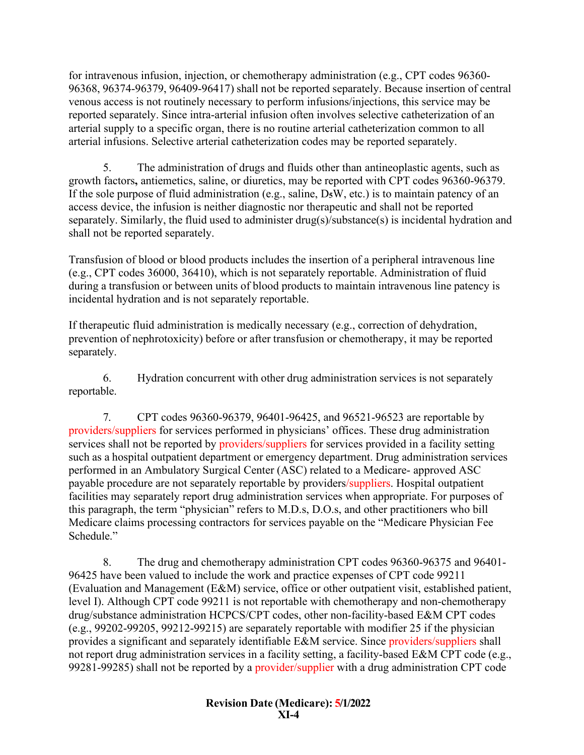for intravenous infusion, injection, or chemotherapy administration (e.g., CPT codes 96360- 96368, 96374-96379, 96409-96417) shall not be reported separately. Because insertion of central venous access is not routinely necessary to perform infusions/injections, this service may be reported separately. Since intra-arterial infusion often involves selective catheterization of an arterial supply to a specific organ, there is no routine arterial catheterization common to all arterial infusions. Selective arterial catheterization codes may be reported separately.

5. The administration of drugs and fluids other than antineoplastic agents, such as growth factors**,** antiemetics, saline, or diuretics, may be reported with CPT codes 96360-96379. If the sole purpose of fluid administration (e.g., saline, D**5**W, etc.) is to maintain patency of an access device, the infusion is neither diagnostic nor therapeutic and shall not be reported separately. Similarly, the fluid used to administer drug(s)/substance(s) is incidental hydration and shall not be reported separately.

Transfusion of blood or blood products includes the insertion of a peripheral intravenous line (e.g., CPT codes 36000, 36410), which is not separately reportable. Administration of fluid during a transfusion or between units of blood products to maintain intravenous line patency is incidental hydration and is not separately reportable.

If therapeutic fluid administration is medically necessary (e.g., correction of dehydration, prevention of nephrotoxicity) before or after transfusion or chemotherapy, it may be reported separately.

6. Hydration concurrent with other drug administration services is not separately reportable.

7. CPT codes 96360-96379, 96401-96425, and 96521-96523 are reportable by providers/suppliers for services performed in physicians' offices. These drug administration services shall not be reported by providers/suppliers for services provided in a facility setting such as a hospital outpatient department or emergency department. Drug administration services performed in an Ambulatory Surgical Center (ASC) related to a Medicare- approved ASC payable procedure are not separately reportable by providers/suppliers. Hospital outpatient facilities may separately report drug administration services when appropriate. For purposes of this paragraph, the term "physician" refers to M.D.s, D.O.s, and other practitioners who bill Medicare claims processing contractors for services payable on the "Medicare Physician Fee Schedule."

8. The drug and chemotherapy administration CPT codes 96360-96375 and 96401- 96425 have been valued to include the work and practice expenses of CPT code 99211 (Evaluation and Management (E&M) service, office or other outpatient visit, established patient, level I). Although CPT code 99211 is not reportable with chemotherapy and non-chemotherapy drug/substance administration HCPCS/CPT codes, other non-facility-based E&M CPT codes (e.g., 99202-99205, 99212-99215) are separately reportable with modifier 25 if the physician provides a significant and separately identifiable E&M service. Since providers/suppliers shall not report drug administration services in a facility setting, a facility-based E&M CPT code (e.g., 99281-99285) shall not be reported by a provider/supplier with a drug administration CPT code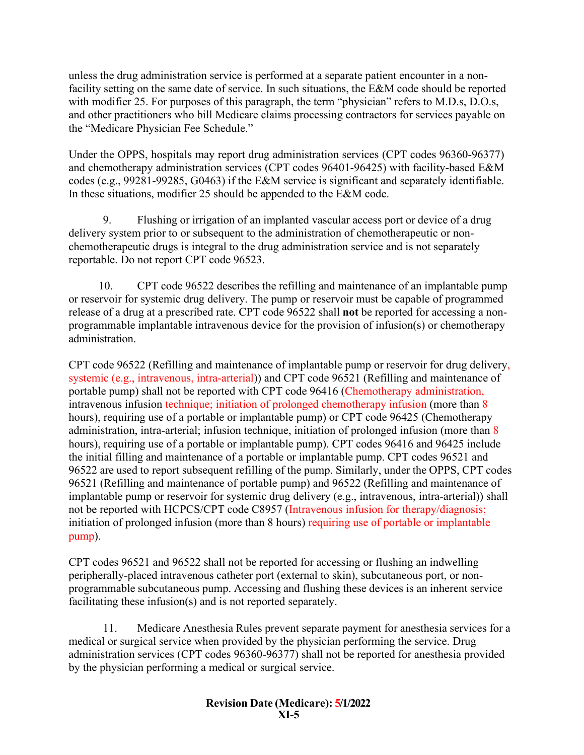unless the drug administration service is performed at a separate patient encounter in a nonfacility setting on the same date of service. In such situations, the E&M code should be reported with modifier 25. For purposes of this paragraph, the term "physician" refers to M.D.s, D.O.s, and other practitioners who bill Medicare claims processing contractors for services payable on the "Medicare Physician Fee Schedule."

Under the OPPS, hospitals may report drug administration services (CPT codes 96360-96377) and chemotherapy administration services (CPT codes 96401-96425) with facility-based E&M codes (e.g., 99281-99285, G0463) if the E&M service is significant and separately identifiable. In these situations, modifier 25 should be appended to the E&M code.

9. Flushing or irrigation of an implanted vascular access port or device of a drug delivery system prior to or subsequent to the administration of chemotherapeutic or nonchemotherapeutic drugs is integral to the drug administration service and is not separately reportable. Do not report CPT code 96523.

10. CPT code 96522 describes the refilling and maintenance of an implantable pump or reservoir for systemic drug delivery. The pump or reservoir must be capable of programmed release of a drug at a prescribed rate. CPT code 96522 shall **not** be reported for accessing a nonprogrammable implantable intravenous device for the provision of infusion(s) or chemotherapy administration.

CPT code 96522 (Refilling and maintenance of implantable pump or reservoir for drug delivery, systemic (e.g., intravenous, intra-arterial)) and CPT code 96521 (Refilling and maintenance of portable pump) shall not be reported with CPT code 96416 (Chemotherapy administration, intravenous infusion technique; initiation of prolonged chemotherapy infusion (more than 8 hours), requiring use of a portable or implantable pump) or CPT code 96425 (Chemotherapy administration, intra-arterial; infusion technique, initiation of prolonged infusion (more than 8 hours), requiring use of a portable or implantable pump). CPT codes 96416 and 96425 include the initial filling and maintenance of a portable or implantable pump. CPT codes 96521 and 96522 are used to report subsequent refilling of the pump. Similarly, under the OPPS, CPT codes 96521 (Refilling and maintenance of portable pump) and 96522 (Refilling and maintenance of implantable pump or reservoir for systemic drug delivery (e.g., intravenous, intra-arterial)) shall not be reported with HCPCS/CPT code C8957 (Intravenous infusion for therapy/diagnosis; initiation of prolonged infusion (more than 8 hours) requiring use of portable or implantable pump).

CPT codes 96521 and 96522 shall not be reported for accessing or flushing an indwelling peripherally-placed intravenous catheter port (external to skin), subcutaneous port, or nonprogrammable subcutaneous pump. Accessing and flushing these devices is an inherent service facilitating these infusion(s) and is not reported separately.

11. Medicare Anesthesia Rules prevent separate payment for anesthesia services for a medical or surgical service when provided by the physician performing the service. Drug administration services (CPT codes 96360-96377) shall not be reported for anesthesia provided by the physician performing a medical or surgical service.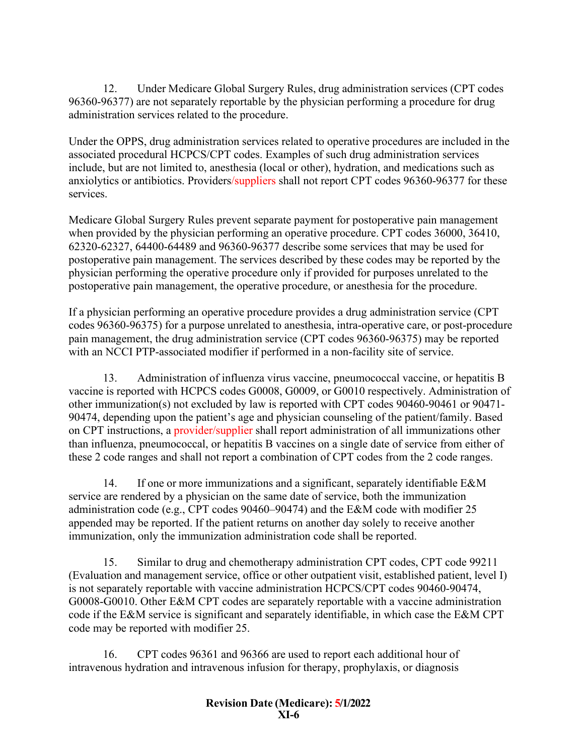12. Under Medicare Global Surgery Rules, drug administration services (CPT codes 96360-96377) are not separately reportable by the physician performing a procedure for drug administration services related to the procedure.

Under the OPPS, drug administration services related to operative procedures are included in the associated procedural HCPCS/CPT codes. Examples of such drug administration services include, but are not limited to, anesthesia (local or other), hydration, and medications such as anxiolytics or antibiotics. Providers/suppliers shall not report CPT codes 96360-96377 for these services.

Medicare Global Surgery Rules prevent separate payment for postoperative pain management when provided by the physician performing an operative procedure. CPT codes 36000, 36410, 62320-62327, 64400-64489 and 96360-96377 describe some services that may be used for postoperative pain management. The services described by these codes may be reported by the physician performing the operative procedure only if provided for purposes unrelated to the postoperative pain management, the operative procedure, or anesthesia for the procedure.

If a physician performing an operative procedure provides a drug administration service (CPT codes 96360-96375) for a purpose unrelated to anesthesia, intra-operative care, or post-procedure pain management, the drug administration service (CPT codes 96360-96375) may be reported with an NCCI PTP-associated modifier if performed in a non-facility site of service.

13. Administration of influenza virus vaccine, pneumococcal vaccine, or hepatitis B vaccine is reported with HCPCS codes G0008, G0009, or G0010 respectively. Administration of other immunization(s) not excluded by law is reported with CPT codes 90460-90461 or 90471- 90474, depending upon the patient's age and physician counseling of the patient/family. Based on CPT instructions, a provider/supplier shall report administration of all immunizations other than influenza, pneumococcal, or hepatitis B vaccines on a single date of service from either of these 2 code ranges and shall not report a combination of CPT codes from the 2 code ranges.

14. If one or more immunizations and a significant, separately identifiable E&M service are rendered by a physician on the same date of service, both the immunization administration code (e.g., CPT codes 90460–90474) and the E&M code with modifier 25 appended may be reported. If the patient returns on another day solely to receive another immunization, only the immunization administration code shall be reported.

15. Similar to drug and chemotherapy administration CPT codes, CPT code 99211 (Evaluation and management service, office or other outpatient visit, established patient, level I) is not separately reportable with vaccine administration HCPCS/CPT codes 90460-90474, G0008-G0010. Other E&M CPT codes are separately reportable with a vaccine administration code if the E&M service is significant and separately identifiable, in which case the E&M CPT code may be reported with modifier 25.

16. CPT codes 96361 and 96366 are used to report each additional hour of intravenous hydration and intravenous infusion for therapy, prophylaxis, or diagnosis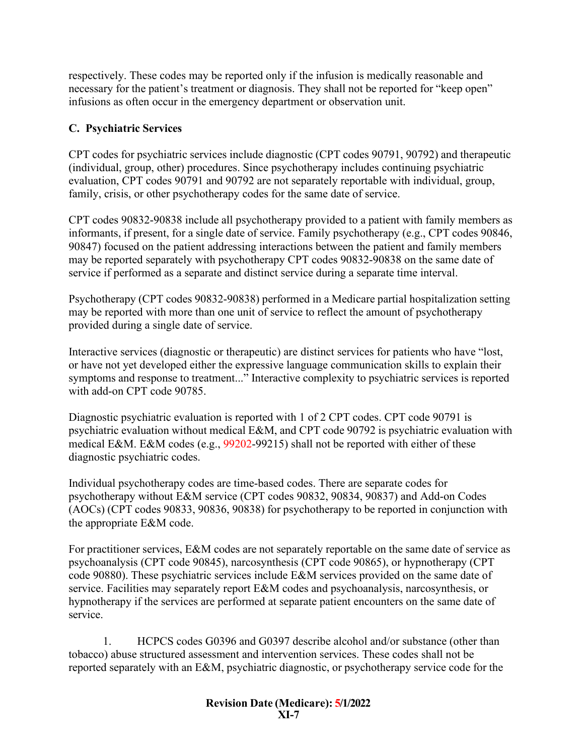respectively. These codes may be reported only if the infusion is medically reasonable and necessary for the patient's treatment or diagnosis. They shall not be reported for "keep open" infusions as often occur in the emergency department or observation unit.

## <span id="page-6-0"></span>**C. Psychiatric Services**

CPT codes for psychiatric services include diagnostic (CPT codes 90791, 90792) and therapeutic (individual, group, other) procedures. Since psychotherapy includes continuing psychiatric evaluation, CPT codes 90791 and 90792 are not separately reportable with individual, group, family, crisis, or other psychotherapy codes for the same date of service.

CPT codes 90832-90838 include all psychotherapy provided to a patient with family members as informants, if present, for a single date of service. Family psychotherapy (e.g., CPT codes 90846, 90847) focused on the patient addressing interactions between the patient and family members may be reported separately with psychotherapy CPT codes 90832-90838 on the same date of service if performed as a separate and distinct service during a separate time interval.

Psychotherapy (CPT codes 90832-90838) performed in a Medicare partial hospitalization setting may be reported with more than one unit of service to reflect the amount of psychotherapy provided during a single date of service.

Interactive services (diagnostic or therapeutic) are distinct services for patients who have "lost, or have not yet developed either the expressive language communication skills to explain their symptoms and response to treatment..." Interactive complexity to psychiatric services is reported with add-on CPT code 90785.

Diagnostic psychiatric evaluation is reported with 1 of 2 CPT codes. CPT code 90791 is psychiatric evaluation without medical E&M, and CPT code 90792 is psychiatric evaluation with medical E&M. E&M codes (e.g., 99202-99215) shall not be reported with either of these diagnostic psychiatric codes.

Individual psychotherapy codes are time-based codes. There are separate codes for psychotherapy without E&M service (CPT codes 90832, 90834, 90837) and Add-on Codes (AOCs) (CPT codes 90833, 90836, 90838) for psychotherapy to be reported in conjunction with the appropriate E&M code.

For practitioner services, E&M codes are not separately reportable on the same date of service as psychoanalysis (CPT code 90845), narcosynthesis (CPT code 90865), or hypnotherapy (CPT code 90880). These psychiatric services include E&M services provided on the same date of service. Facilities may separately report E&M codes and psychoanalysis, narcosynthesis, or hypnotherapy if the services are performed at separate patient encounters on the same date of service.

1. HCPCS codes G0396 and G0397 describe alcohol and/or substance (other than tobacco) abuse structured assessment and intervention services. These codes shall not be reported separately with an E&M, psychiatric diagnostic, or psychotherapy service code for the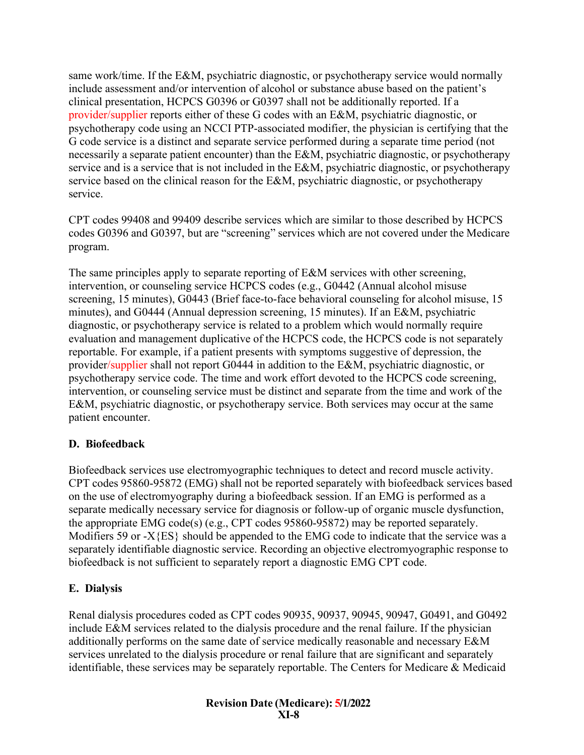same work/time. If the E&M, psychiatric diagnostic, or psychotherapy service would normally include assessment and/or intervention of alcohol or substance abuse based on the patient's clinical presentation, HCPCS G0396 or G0397 shall not be additionally reported. If a provider/supplier reports either of these G codes with an E&M, psychiatric diagnostic, or psychotherapy code using an NCCI PTP-associated modifier, the physician is certifying that the G code service is a distinct and separate service performed during a separate time period (not necessarily a separate patient encounter) than the E&M, psychiatric diagnostic, or psychotherapy service and is a service that is not included in the E&M, psychiatric diagnostic, or psychotherapy service based on the clinical reason for the E&M, psychiatric diagnostic, or psychotherapy service.

CPT codes 99408 and 99409 describe services which are similar to those described by HCPCS codes G0396 and G0397, but are "screening" services which are not covered under the Medicare program.

The same principles apply to separate reporting of E&M services with other screening, intervention, or counseling service HCPCS codes (e.g., G0442 (Annual alcohol misuse screening, 15 minutes), G0443 (Brief face-to-face behavioral counseling for alcohol misuse, 15 minutes), and G0444 (Annual depression screening, 15 minutes). If an E&M, psychiatric diagnostic, or psychotherapy service is related to a problem which would normally require evaluation and management duplicative of the HCPCS code, the HCPCS code is not separately reportable. For example, if a patient presents with symptoms suggestive of depression, the provider/supplier shall not report G0444 in addition to the E&M, psychiatric diagnostic, or psychotherapy service code. The time and work effort devoted to the HCPCS code screening, intervention, or counseling service must be distinct and separate from the time and work of the E&M, psychiatric diagnostic, or psychotherapy service. Both services may occur at the same patient encounter.

## <span id="page-7-0"></span>**D. Biofeedback**

Biofeedback services use electromyographic techniques to detect and record muscle activity. CPT codes 95860-95872 (EMG) shall not be reported separately with biofeedback services based on the use of electromyography during a biofeedback session. If an EMG is performed as a separate medically necessary service for diagnosis or follow-up of organic muscle dysfunction, the appropriate EMG code(s) (e.g., CPT codes 95860-95872) may be reported separately. Modifiers 59 or  $-X$ {ES} should be appended to the EMG code to indicate that the service was a separately identifiable diagnostic service. Recording an objective electromyographic response to biofeedback is not sufficient to separately report a diagnostic EMG CPT code.

## <span id="page-7-1"></span>**E. Dialysis**

Renal dialysis procedures coded as CPT codes 90935, 90937, 90945, 90947, G0491, and G0492 include E&M services related to the dialysis procedure and the renal failure. If the physician additionally performs on the same date of service medically reasonable and necessary E&M services unrelated to the dialysis procedure or renal failure that are significant and separately identifiable, these services may be separately reportable. The Centers for Medicare & Medicaid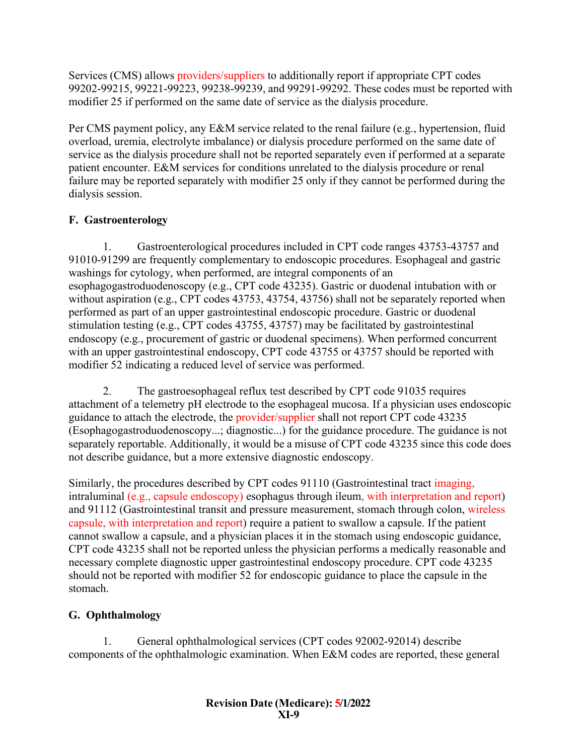Services (CMS) allows providers/suppliers to additionally report if appropriate CPT codes 99202-99215, 99221-99223, 99238-99239, and 99291-99292. These codes must be reported with modifier 25 if performed on the same date of service as the dialysis procedure.

Per CMS payment policy, any E&M service related to the renal failure (e.g., hypertension, fluid overload, uremia, electrolyte imbalance) or dialysis procedure performed on the same date of service as the dialysis procedure shall not be reported separately even if performed at a separate patient encounter. E&M services for conditions unrelated to the dialysis procedure or renal failure may be reported separately with modifier 25 only if they cannot be performed during the dialysis session.

# <span id="page-8-0"></span>**F. Gastroenterology**

1. Gastroenterological procedures included in CPT code ranges 43753-43757 and 91010-91299 are frequently complementary to endoscopic procedures. Esophageal and gastric washings for cytology, when performed, are integral components of an esophagogastroduodenoscopy (e.g., CPT code 43235). Gastric or duodenal intubation with or without aspiration (e.g., CPT codes 43753, 43754, 43756) shall not be separately reported when performed as part of an upper gastrointestinal endoscopic procedure. Gastric or duodenal stimulation testing (e.g., CPT codes 43755, 43757) may be facilitated by gastrointestinal endoscopy (e.g., procurement of gastric or duodenal specimens). When performed concurrent with an upper gastrointestinal endoscopy, CPT code 43755 or 43757 should be reported with modifier 52 indicating a reduced level of service was performed.

2. The gastroesophageal reflux test described by CPT code 91035 requires attachment of a telemetry pH electrode to the esophageal mucosa. If a physician uses endoscopic guidance to attach the electrode, the provider/supplier shall not report CPT code 43235 (Esophagogastroduodenoscopy...; diagnostic...) for the guidance procedure. The guidance is not separately reportable. Additionally, it would be a misuse of CPT code 43235 since this code does not describe guidance, but a more extensive diagnostic endoscopy.

Similarly, the procedures described by CPT codes 91110 (Gastrointestinal tract imaging, intraluminal (e.g., capsule endoscopy) esophagus through ileum, with interpretation and report) and 91112 (Gastrointestinal transit and pressure measurement, stomach through colon, wireless capsule, with interpretation and report) require a patient to swallow a capsule. If the patient cannot swallow a capsule, and a physician places it in the stomach using endoscopic guidance, CPT code 43235 shall not be reported unless the physician performs a medically reasonable and necessary complete diagnostic upper gastrointestinal endoscopy procedure. CPT code 43235 should not be reported with modifier 52 for endoscopic guidance to place the capsule in the stomach.

# <span id="page-8-1"></span>**G. Ophthalmology**

1. General ophthalmological services (CPT codes 92002-92014) describe components of the ophthalmologic examination. When E&M codes are reported, these general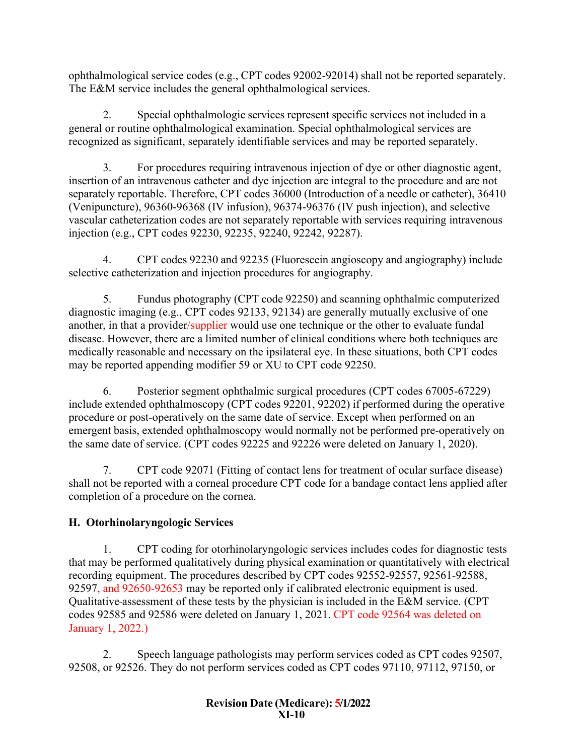ophthalmological service codes (e.g., CPT codes 92002-92014) shall not be reported separately. The E&M service includes the general ophthalmological services.

2. Special ophthalmologic services represent specific services not included in a general or routine ophthalmological examination. Special ophthalmological services are recognized as significant, separately identifiable services and may be reported separately.

3. For procedures requiring intravenous injection of dye or other diagnostic agent, insertion of an intravenous catheter and dye injection are integral to the procedure and are not separately reportable. Therefore, CPT codes 36000 (Introduction of a needle or catheter), 36410 (Venipuncture), 96360-96368 (IV infusion), 96374-96376 (IV push injection), and selective vascular catheterization codes are not separately reportable with services requiring intravenous injection (e.g., CPT codes 92230, 92235, 92240, 92242, 92287).

4. CPT codes 92230 and 92235 (Fluorescein angioscopy and angiography) include selective catheterization and injection procedures for angiography.

5. Fundus photography (CPT code 92250) and scanning ophthalmic computerized diagnostic imaging (e.g., CPT codes 92133, 92134) are generally mutually exclusive of one another, in that a provider/supplier would use one technique or the other to evaluate fundal disease. However, there are a limited number of clinical conditions where both techniques are medically reasonable and necessary on the ipsilateral eye. In these situations, both CPT codes may be reported appending modifier 59 or XU to CPT code 92250.

6. Posterior segment ophthalmic surgical procedures (CPT codes 67005-67229) include extended ophthalmoscopy (CPT codes 92201, 92202) if performed during the operative procedure or post-operatively on the same date of service. Except when performed on an emergent basis, extended ophthalmoscopy would normally not be performed pre-operatively on the same date of service. (CPT codes 92225 and 92226 were deleted on January 1, 2020).

7. CPT code 92071 (Fitting of contact lens for treatment of ocular surface disease) shall not be reported with a corneal procedure CPT code for a bandage contact lens applied after completion of a procedure on the cornea.

# <span id="page-9-0"></span>**H. Otorhinolaryngologic Services**

1. CPT coding for otorhinolaryngologic services includes codes for diagnostic tests that may be performed qualitatively during physical examination or quantitatively with electrical recording equipment. The procedures described by CPT codes 92552-92557, 92561-92588, 92597, and 92650-92653 may be reported only if calibrated electronic equipment is used. Qualitative assessment of these tests by the physician is included in the E&M service. (CPT codes 92585 and 92586 were deleted on January 1, 2021. CPT code 92564 was deleted on January 1, 2022.)

2. Speech language pathologists may perform services coded as CPT codes 92507, 92508, or 92526. They do not perform services coded as CPT codes 97110, 97112, 97150, or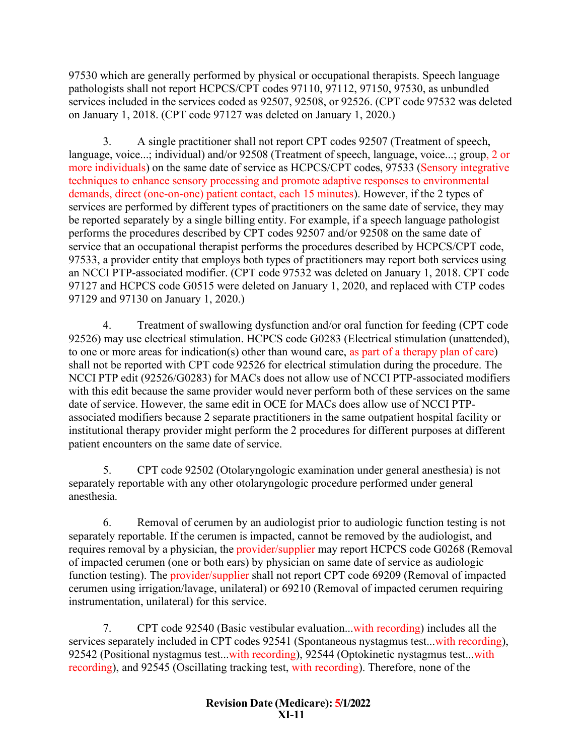97530 which are generally performed by physical or occupational therapists. Speech language pathologists shall not report HCPCS/CPT codes 97110, 97112, 97150, 97530, as unbundled services included in the services coded as 92507, 92508, or 92526. (CPT code 97532 was deleted on January 1, 2018. (CPT code 97127 was deleted on January 1, 2020.)

3. A single practitioner shall not report CPT codes 92507 (Treatment of speech, language, voice...; individual) and/or 92508 (Treatment of speech, language, voice...; group, 2 or more individuals) on the same date of service as HCPCS/CPT codes, 97533 (Sensory integrative techniques to enhance sensory processing and promote adaptive responses to environmental demands, direct (one-on-one) patient contact, each 15 minutes). However, if the 2 types of services are performed by different types of practitioners on the same date of service, they may be reported separately by a single billing entity. For example, if a speech language pathologist performs the procedures described by CPT codes 92507 and/or 92508 on the same date of service that an occupational therapist performs the procedures described by HCPCS/CPT code, 97533, a provider entity that employs both types of practitioners may report both services using an NCCI PTP-associated modifier. (CPT code 97532 was deleted on January 1, 2018. CPT code 97127 and HCPCS code G0515 were deleted on January 1, 2020, and replaced with CTP codes 97129 and 97130 on January 1, 2020.)

4. Treatment of swallowing dysfunction and/or oral function for feeding (CPT code 92526) may use electrical stimulation. HCPCS code G0283 (Electrical stimulation (unattended), to one or more areas for indication(s) other than wound care, as part of a therapy plan of care) shall not be reported with CPT code 92526 for electrical stimulation during the procedure. The NCCI PTP edit (92526/G0283) for MACs does not allow use of NCCI PTP-associated modifiers with this edit because the same provider would never perform both of these services on the same date of service. However, the same edit in OCE for MACs does allow use of NCCI PTPassociated modifiers because 2 separate practitioners in the same outpatient hospital facility or institutional therapy provider might perform the 2 procedures for different purposes at different patient encounters on the same date of service.

5. CPT code 92502 (Otolaryngologic examination under general anesthesia) is not separately reportable with any other otolaryngologic procedure performed under general anesthesia.

6. Removal of cerumen by an audiologist prior to audiologic function testing is not separately reportable. If the cerumen is impacted, cannot be removed by the audiologist, and requires removal by a physician, the provider/supplier may report HCPCS code G0268 (Removal of impacted cerumen (one or both ears) by physician on same date of service as audiologic function testing). The provider/supplier shall not report CPT code 69209 (Removal of impacted cerumen using irrigation/lavage, unilateral) or 69210 (Removal of impacted cerumen requiring instrumentation, unilateral) for this service.

7. CPT code 92540 (Basic vestibular evaluation...with recording) includes all the services separately included in CPT codes 92541 (Spontaneous nystagmus test...with recording), 92542 (Positional nystagmus test...with recording), 92544 (Optokinetic nystagmus test...with recording), and 92545 (Oscillating tracking test, with recording). Therefore, none of the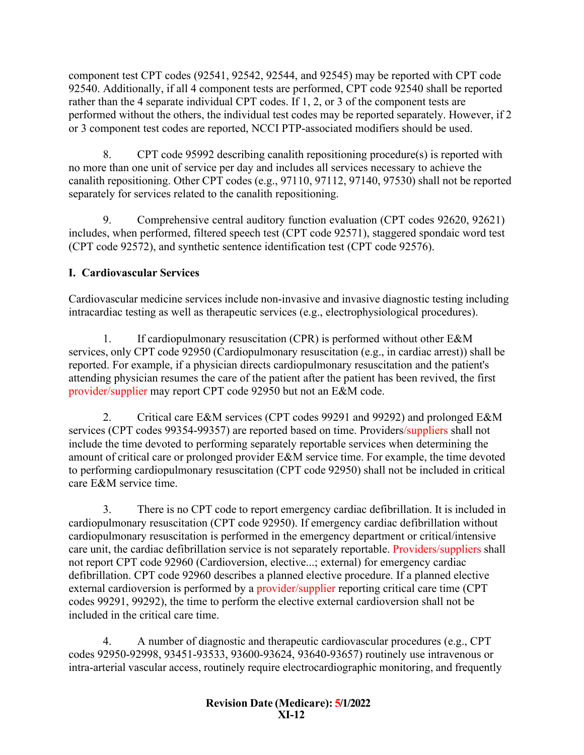component test CPT codes (92541, 92542, 92544, and 92545) may be reported with CPT code 92540. Additionally, if all 4 component tests are performed, CPT code 92540 shall be reported rather than the 4 separate individual CPT codes. If 1, 2, or 3 of the component tests are performed without the others, the individual test codes may be reported separately. However, if 2 or 3 component test codes are reported, NCCI PTP-associated modifiers should be used.

8. CPT code 95992 describing canalith repositioning procedure(s) is reported with no more than one unit of service per day and includes all services necessary to achieve the canalith repositioning. Other CPT codes (e.g., 97110, 97112, 97140, 97530) shall not be reported separately for services related to the canalith repositioning.

9. Comprehensive central auditory function evaluation (CPT codes 92620, 92621) includes, when performed, filtered speech test (CPT code 92571), staggered spondaic word test (CPT code 92572), and synthetic sentence identification test (CPT code 92576).

# <span id="page-11-0"></span>**I. Cardiovascular Services**

Cardiovascular medicine services include non-invasive and invasive diagnostic testing including intracardiac testing as well as therapeutic services (e.g., electrophysiological procedures).

1. If cardiopulmonary resuscitation (CPR) is performed without other E&M services, only CPT code 92950 (Cardiopulmonary resuscitation (e.g., in cardiac arrest)) shall be reported. For example, if a physician directs cardiopulmonary resuscitation and the patient's attending physician resumes the care of the patient after the patient has been revived, the first provider/supplier may report CPT code 92950 but not an E&M code.

2. Critical care E&M services (CPT codes 99291 and 99292) and prolonged E&M services (CPT codes 99354-99357) are reported based on time. Providers/suppliers shall not include the time devoted to performing separately reportable services when determining the amount of critical care or prolonged provider E&M service time. For example, the time devoted to performing cardiopulmonary resuscitation (CPT code 92950) shall not be included in critical care E&M service time.

3. There is no CPT code to report emergency cardiac defibrillation. It is included in cardiopulmonary resuscitation (CPT code 92950). If emergency cardiac defibrillation without cardiopulmonary resuscitation is performed in the emergency department or critical/intensive care unit, the cardiac defibrillation service is not separately reportable. Providers/suppliers shall not report CPT code 92960 (Cardioversion, elective...; external) for emergency cardiac defibrillation. CPT code 92960 describes a planned elective procedure. If a planned elective external cardioversion is performed by a provider/supplier reporting critical care time (CPT codes 99291, 99292), the time to perform the elective external cardioversion shall not be included in the critical care time.

4. A number of diagnostic and therapeutic cardiovascular procedures (e.g., CPT codes 92950-92998, 93451-93533, 93600-93624, 93640-93657) routinely use intravenous or intra-arterial vascular access, routinely require electrocardiographic monitoring, and frequently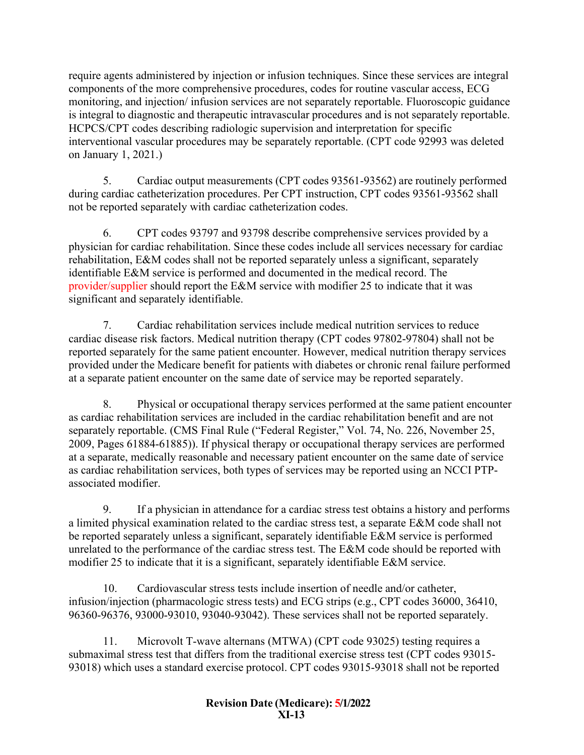require agents administered by injection or infusion techniques. Since these services are integral components of the more comprehensive procedures, codes for routine vascular access, ECG monitoring, and injection/ infusion services are not separately reportable. Fluoroscopic guidance is integral to diagnostic and therapeutic intravascular procedures and is not separately reportable. HCPCS/CPT codes describing radiologic supervision and interpretation for specific interventional vascular procedures may be separately reportable. (CPT code 92993 was deleted on January 1, 2021.)

5. Cardiac output measurements (CPT codes 93561-93562) are routinely performed during cardiac catheterization procedures. Per CPT instruction, CPT codes 93561-93562 shall not be reported separately with cardiac catheterization codes.

6. CPT codes 93797 and 93798 describe comprehensive services provided by a physician for cardiac rehabilitation. Since these codes include all services necessary for cardiac rehabilitation, E&M codes shall not be reported separately unless a significant, separately identifiable E&M service is performed and documented in the medical record. The provider/supplier should report the E&M service with modifier 25 to indicate that it was significant and separately identifiable.

7. Cardiac rehabilitation services include medical nutrition services to reduce cardiac disease risk factors. Medical nutrition therapy (CPT codes 97802-97804) shall not be reported separately for the same patient encounter. However, medical nutrition therapy services provided under the Medicare benefit for patients with diabetes or chronic renal failure performed at a separate patient encounter on the same date of service may be reported separately.

8. Physical or occupational therapy services performed at the same patient encounter as cardiac rehabilitation services are included in the cardiac rehabilitation benefit and are not separately reportable. (CMS Final Rule ("Federal Register," Vol. 74, No. 226, November 25, 2009, Pages 61884-61885)). If physical therapy or occupational therapy services are performed at a separate, medically reasonable and necessary patient encounter on the same date of service as cardiac rehabilitation services, both types of services may be reported using an NCCI PTPassociated modifier.

9. If a physician in attendance for a cardiac stress test obtains a history and performs a limited physical examination related to the cardiac stress test, a separate E&M code shall not be reported separately unless a significant, separately identifiable E&M service is performed unrelated to the performance of the cardiac stress test. The E&M code should be reported with modifier 25 to indicate that it is a significant, separately identifiable E&M service.

10. Cardiovascular stress tests include insertion of needle and/or catheter, infusion/injection (pharmacologic stress tests) and ECG strips (e.g., CPT codes 36000, 36410, 96360-96376, 93000-93010, 93040-93042). These services shall not be reported separately.

11. Microvolt T-wave alternans (MTWA) (CPT code 93025) testing requires a submaximal stress test that differs from the traditional exercise stress test (CPT codes 93015- 93018) which uses a standard exercise protocol. CPT codes 93015-93018 shall not be reported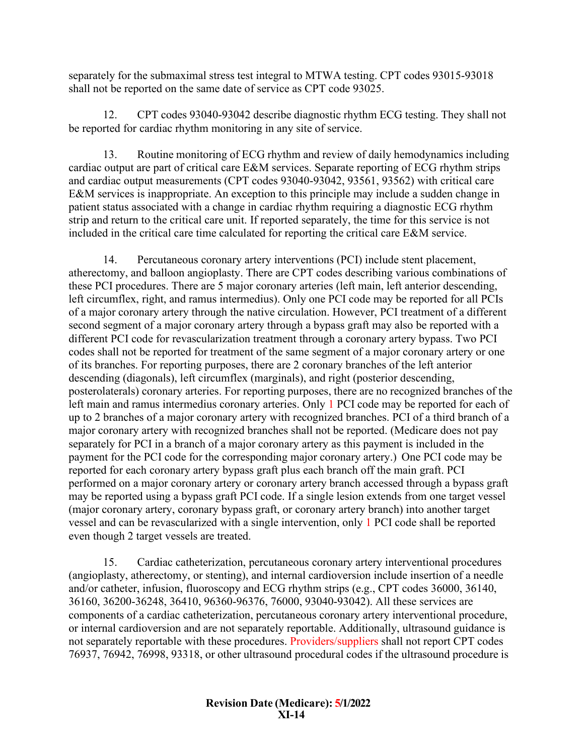separately for the submaximal stress test integral to MTWA testing. CPT codes 93015-93018 shall not be reported on the same date of service as CPT code 93025.

12. CPT codes 93040-93042 describe diagnostic rhythm ECG testing. They shall not be reported for cardiac rhythm monitoring in any site of service.

13. Routine monitoring of ECG rhythm and review of daily hemodynamics including cardiac output are part of critical care E&M services. Separate reporting of ECG rhythm strips and cardiac output measurements (CPT codes 93040-93042, 93561, 93562) with critical care E&M services is inappropriate. An exception to this principle may include a sudden change in patient status associated with a change in cardiac rhythm requiring a diagnostic ECG rhythm strip and return to the critical care unit. If reported separately, the time for this service is not included in the critical care time calculated for reporting the critical care E&M service.

14. Percutaneous coronary artery interventions (PCI) include stent placement, atherectomy, and balloon angioplasty. There are CPT codes describing various combinations of these PCI procedures. There are 5 major coronary arteries (left main, left anterior descending, left circumflex, right, and ramus intermedius). Only one PCI code may be reported for all PCIs of a major coronary artery through the native circulation. However, PCI treatment of a different second segment of a major coronary artery through a bypass graft may also be reported with a different PCI code for revascularization treatment through a coronary artery bypass. Two PCI codes shall not be reported for treatment of the same segment of a major coronary artery or one of its branches. For reporting purposes, there are 2 coronary branches of the left anterior descending (diagonals), left circumflex (marginals), and right (posterior descending, posterolaterals) coronary arteries. For reporting purposes, there are no recognized branches of the left main and ramus intermedius coronary arteries. Only 1 PCI code may be reported for each of up to 2 branches of a major coronary artery with recognized branches. PCI of a third branch of a major coronary artery with recognized branches shall not be reported. (Medicare does not pay separately for PCI in a branch of a major coronary artery as this payment is included in the payment for the PCI code for the corresponding major coronary artery.) One PCI code may be reported for each coronary artery bypass graft plus each branch off the main graft. PCI performed on a major coronary artery or coronary artery branch accessed through a bypass graft may be reported using a bypass graft PCI code. If a single lesion extends from one target vessel (major coronary artery, coronary bypass graft, or coronary artery branch) into another target vessel and can be revascularized with a single intervention, only 1 PCI code shall be reported even though 2 target vessels are treated.

15. Cardiac catheterization, percutaneous coronary artery interventional procedures (angioplasty, atherectomy, or stenting), and internal cardioversion include insertion of a needle and/or catheter, infusion, fluoroscopy and ECG rhythm strips (e.g., CPT codes 36000, 36140, 36160, 36200-36248, 36410, 96360-96376, 76000, 93040-93042). All these services are components of a cardiac catheterization, percutaneous coronary artery interventional procedure, or internal cardioversion and are not separately reportable. Additionally, ultrasound guidance is not separately reportable with these procedures. Providers/suppliers shall not report CPT codes 76937, 76942, 76998, 93318, or other ultrasound procedural codes if the ultrasound procedure is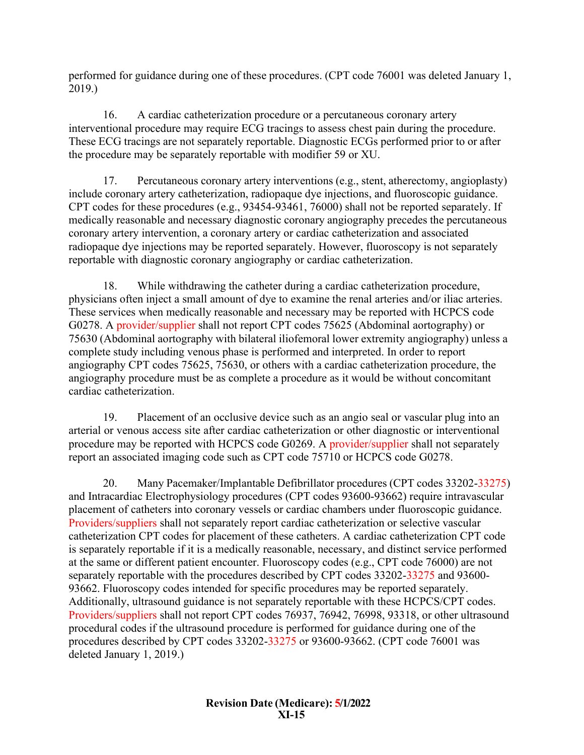performed for guidance during one of these procedures. (CPT code 76001 was deleted January 1, 2019.)

16. A cardiac catheterization procedure or a percutaneous coronary artery interventional procedure may require ECG tracings to assess chest pain during the procedure. These ECG tracings are not separately reportable. Diagnostic ECGs performed prior to or after the procedure may be separately reportable with modifier 59 or XU.

17. Percutaneous coronary artery interventions (e.g., stent, atherectomy, angioplasty) include coronary artery catheterization, radiopaque dye injections, and fluoroscopic guidance. CPT codes for these procedures (e.g., 93454-93461, 76000) shall not be reported separately. If medically reasonable and necessary diagnostic coronary angiography precedes the percutaneous coronary artery intervention, a coronary artery or cardiac catheterization and associated radiopaque dye injections may be reported separately. However, fluoroscopy is not separately reportable with diagnostic coronary angiography or cardiac catheterization.

18. While withdrawing the catheter during a cardiac catheterization procedure, physicians often inject a small amount of dye to examine the renal arteries and/or iliac arteries. These services when medically reasonable and necessary may be reported with HCPCS code G0278. A provider/supplier shall not report CPT codes 75625 (Abdominal aortography) or 75630 (Abdominal aortography with bilateral iliofemoral lower extremity angiography) unless a complete study including venous phase is performed and interpreted. In order to report angiography CPT codes 75625, 75630, or others with a cardiac catheterization procedure, the angiography procedure must be as complete a procedure as it would be without concomitant cardiac catheterization.

19. Placement of an occlusive device such as an angio seal or vascular plug into an arterial or venous access site after cardiac catheterization or other diagnostic or interventional procedure may be reported with HCPCS code G0269. A provider/supplier shall not separately report an associated imaging code such as CPT code 75710 or HCPCS code G0278.

20. Many Pacemaker/Implantable Defibrillator procedures (CPT codes 33202-33275) and Intracardiac Electrophysiology procedures (CPT codes 93600-93662) require intravascular placement of catheters into coronary vessels or cardiac chambers under fluoroscopic guidance. Providers/suppliers shall not separately report cardiac catheterization or selective vascular catheterization CPT codes for placement of these catheters. A cardiac catheterization CPT code is separately reportable if it is a medically reasonable, necessary, and distinct service performed at the same or different patient encounter. Fluoroscopy codes (e.g., CPT code 76000) are not separately reportable with the procedures described by CPT codes 33202-33275 and 93600- 93662. Fluoroscopy codes intended for specific procedures may be reported separately. Additionally, ultrasound guidance is not separately reportable with these HCPCS/CPT codes. Providers/suppliers shall not report CPT codes 76937, 76942, 76998, 93318, or other ultrasound procedural codes if the ultrasound procedure is performed for guidance during one of the procedures described by CPT codes 33202-33275 or 93600-93662. (CPT code 76001 was deleted January 1, 2019.)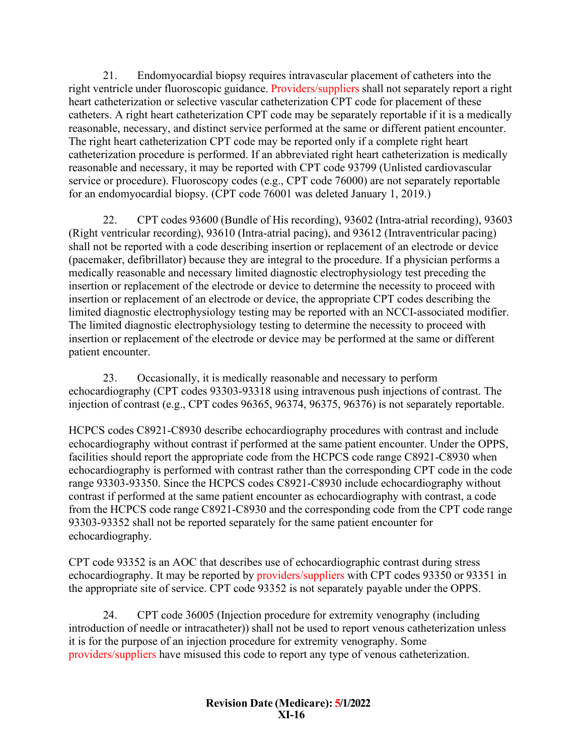21. Endomyocardial biopsy requires intravascular placement of catheters into the right ventricle under fluoroscopic guidance. Providers/suppliers shall not separately report a right heart catheterization or selective vascular catheterization CPT code for placement of these catheters. A right heart catheterization CPT code may be separately reportable if it is a medically reasonable, necessary, and distinct service performed at the same or different patient encounter. The right heart catheterization CPT code may be reported only if a complete right heart catheterization procedure is performed. If an abbreviated right heart catheterization is medically reasonable and necessary, it may be reported with CPT code 93799 (Unlisted cardiovascular service or procedure). Fluoroscopy codes (e.g., CPT code 76000) are not separately reportable for an endomyocardial biopsy. (CPT code 76001 was deleted January 1, 2019.)

22. CPT codes 93600 (Bundle of His recording), 93602 (Intra-atrial recording), 93603 (Right ventricular recording), 93610 (Intra-atrial pacing), and 93612 (Intraventricular pacing) shall not be reported with a code describing insertion or replacement of an electrode or device (pacemaker, defibrillator) because they are integral to the procedure. If a physician performs a medically reasonable and necessary limited diagnostic electrophysiology test preceding the insertion or replacement of the electrode or device to determine the necessity to proceed with insertion or replacement of an electrode or device, the appropriate CPT codes describing the limited diagnostic electrophysiology testing may be reported with an NCCI-associated modifier. The limited diagnostic electrophysiology testing to determine the necessity to proceed with insertion or replacement of the electrode or device may be performed at the same or different patient encounter.

23. Occasionally, it is medically reasonable and necessary to perform echocardiography (CPT codes 93303-93318 using intravenous push injections of contrast. The injection of contrast (e.g., CPT codes 96365, 96374, 96375, 96376) is not separately reportable.

HCPCS codes C8921-C8930 describe echocardiography procedures with contrast and include echocardiography without contrast if performed at the same patient encounter. Under the OPPS, facilities should report the appropriate code from the HCPCS code range C8921-C8930 when echocardiography is performed with contrast rather than the corresponding CPT code in the code range 93303-93350. Since the HCPCS codes C8921-C8930 include echocardiography without contrast if performed at the same patient encounter as echocardiography with contrast, a code from the HCPCS code range C8921-C8930 and the corresponding code from the CPT code range 93303-93352 shall not be reported separately for the same patient encounter for echocardiography.

CPT code 93352 is an AOC that describes use of echocardiographic contrast during stress echocardiography. It may be reported by providers/suppliers with CPT codes 93350 or 93351 in the appropriate site of service. CPT code 93352 is not separately payable under the OPPS.

24. CPT code 36005 (Injection procedure for extremity venography (including introduction of needle or intracatheter)) shall not be used to report venous catheterization unless it is for the purpose of an injection procedure for extremity venography. Some providers/suppliers have misused this code to report any type of venous catheterization.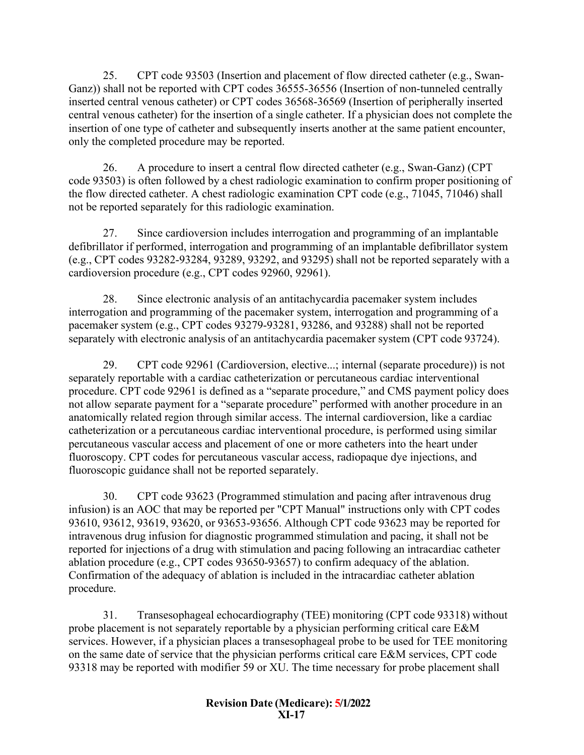25. CPT code 93503 (Insertion and placement of flow directed catheter (e.g., Swan-Ganz)) shall not be reported with CPT codes 36555-36556 (Insertion of non-tunneled centrally inserted central venous catheter) or CPT codes 36568-36569 (Insertion of peripherally inserted central venous catheter) for the insertion of a single catheter. If a physician does not complete the insertion of one type of catheter and subsequently inserts another at the same patient encounter, only the completed procedure may be reported.

26. A procedure to insert a central flow directed catheter (e.g., Swan-Ganz) (CPT code 93503) is often followed by a chest radiologic examination to confirm proper positioning of the flow directed catheter. A chest radiologic examination CPT code (e.g., 71045, 71046) shall not be reported separately for this radiologic examination.

27. Since cardioversion includes interrogation and programming of an implantable defibrillator if performed, interrogation and programming of an implantable defibrillator system (e.g., CPT codes 93282-93284, 93289, 93292, and 93295) shall not be reported separately with a cardioversion procedure (e.g., CPT codes 92960, 92961).

28. Since electronic analysis of an antitachycardia pacemaker system includes interrogation and programming of the pacemaker system, interrogation and programming of a pacemaker system (e.g., CPT codes 93279-93281, 93286, and 93288) shall not be reported separately with electronic analysis of an antitachycardia pacemaker system (CPT code 93724).

29. CPT code 92961 (Cardioversion, elective...; internal (separate procedure)) is not separately reportable with a cardiac catheterization or percutaneous cardiac interventional procedure. CPT code 92961 is defined as a "separate procedure," and CMS payment policy does not allow separate payment for a "separate procedure" performed with another procedure in an anatomically related region through similar access. The internal cardioversion, like a cardiac catheterization or a percutaneous cardiac interventional procedure, is performed using similar percutaneous vascular access and placement of one or more catheters into the heart under fluoroscopy. CPT codes for percutaneous vascular access, radiopaque dye injections, and fluoroscopic guidance shall not be reported separately.

30. CPT code 93623 (Programmed stimulation and pacing after intravenous drug infusion) is an AOC that may be reported per "CPT Manual" instructions only with CPT codes 93610, 93612, 93619, 93620, or 93653-93656. Although CPT code 93623 may be reported for intravenous drug infusion for diagnostic programmed stimulation and pacing, it shall not be reported for injections of a drug with stimulation and pacing following an intracardiac catheter ablation procedure (e.g., CPT codes 93650-93657) to confirm adequacy of the ablation. Confirmation of the adequacy of ablation is included in the intracardiac catheter ablation procedure.

31. Transesophageal echocardiography (TEE) monitoring (CPT code 93318) without probe placement is not separately reportable by a physician performing critical care E&M services. However, if a physician places a transesophageal probe to be used for TEE monitoring on the same date of service that the physician performs critical care E&M services, CPT code 93318 may be reported with modifier 59 or XU. The time necessary for probe placement shall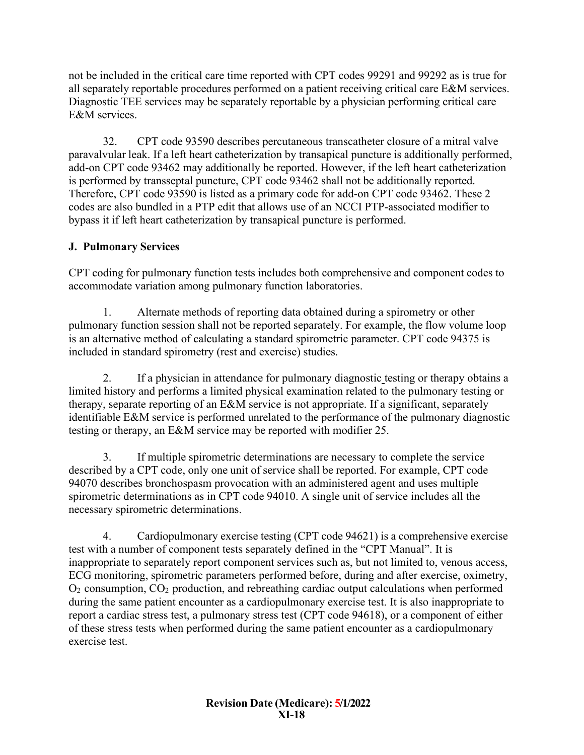not be included in the critical care time reported with CPT codes 99291 and 99292 as is true for all separately reportable procedures performed on a patient receiving critical care E&M services. Diagnostic TEE services may be separately reportable by a physician performing critical care E&M services.

32. CPT code 93590 describes percutaneous transcatheter closure of a mitral valve paravalvular leak. If a left heart catheterization by transapical puncture is additionally performed, add-on CPT code 93462 may additionally be reported. However, if the left heart catheterization is performed by transseptal puncture, CPT code 93462 shall not be additionally reported. Therefore, CPT code 93590 is listed as a primary code for add-on CPT code 93462. These 2 codes are also bundled in a PTP edit that allows use of an NCCI PTP-associated modifier to bypass it if left heart catheterization by transapical puncture is performed.

# <span id="page-17-0"></span>**J. Pulmonary Services**

CPT coding for pulmonary function tests includes both comprehensive and component codes to accommodate variation among pulmonary function laboratories.

1. Alternate methods of reporting data obtained during a spirometry or other pulmonary function session shall not be reported separately. For example, the flow volume loop is an alternative method of calculating a standard spirometric parameter. CPT code 94375 is included in standard spirometry (rest and exercise) studies.

2. If a physician in attendance for pulmonary diagnostic testing or therapy obtains a limited history and performs a limited physical examination related to the pulmonary testing or therapy, separate reporting of an E&M service is not appropriate. If a significant, separately identifiable E&M service is performed unrelated to the performance of the pulmonary diagnostic testing or therapy, an E&M service may be reported with modifier 25.

3. If multiple spirometric determinations are necessary to complete the service described by a CPT code, only one unit of service shall be reported. For example, CPT code 94070 describes bronchospasm provocation with an administered agent and uses multiple spirometric determinations as in CPT code 94010. A single unit of service includes all the necessary spirometric determinations.

4. Cardiopulmonary exercise testing (CPT code 94621) is a comprehensive exercise test with a number of component tests separately defined in the "CPT Manual". It is inappropriate to separately report component services such as, but not limited to, venous access, ECG monitoring, spirometric parameters performed before, during and after exercise, oximetry,  $O<sub>2</sub>$  consumption,  $CO<sub>2</sub>$  production, and rebreathing cardiac output calculations when performed during the same patient encounter as a cardiopulmonary exercise test. It is also inappropriate to report a cardiac stress test, a pulmonary stress test (CPT code 94618), or a component of either of these stress tests when performed during the same patient encounter as a cardiopulmonary exercise test.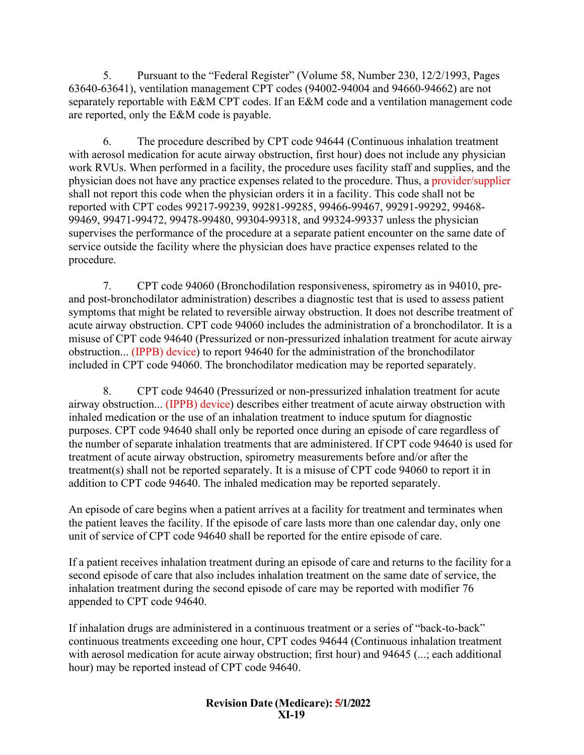5. Pursuant to the "Federal Register" (Volume 58, Number 230, 12/2/1993, Pages 63640-63641), ventilation management CPT codes (94002-94004 and 94660-94662) are not separately reportable with E&M CPT codes. If an E&M code and a ventilation management code are reported, only the E&M code is payable.

6. The procedure described by CPT code 94644 (Continuous inhalation treatment with aerosol medication for acute airway obstruction, first hour) does not include any physician work RVUs. When performed in a facility, the procedure uses facility staff and supplies, and the physician does not have any practice expenses related to the procedure. Thus, a provider/supplier shall not report this code when the physician orders it in a facility. This code shall not be reported with CPT codes 99217-99239, 99281-99285, 99466-99467, 99291-99292, 99468- 99469, 99471-99472, 99478-99480, 99304-99318, and 99324-99337 unless the physician supervises the performance of the procedure at a separate patient encounter on the same date of service outside the facility where the physician does have practice expenses related to the procedure.

7. CPT code 94060 (Bronchodilation responsiveness, spirometry as in 94010, preand post-bronchodilator administration) describes a diagnostic test that is used to assess patient symptoms that might be related to reversible airway obstruction. It does not describe treatment of acute airway obstruction. CPT code 94060 includes the administration of a bronchodilator. It is a misuse of CPT code 94640 (Pressurized or non-pressurized inhalation treatment for acute airway obstruction... (IPPB) device) to report 94640 for the administration of the bronchodilator included in CPT code 94060. The bronchodilator medication may be reported separately.

8. CPT code 94640 (Pressurized or non-pressurized inhalation treatment for acute airway obstruction... (IPPB) device) describes either treatment of acute airway obstruction with inhaled medication or the use of an inhalation treatment to induce sputum for diagnostic purposes. CPT code 94640 shall only be reported once during an episode of care regardless of the number of separate inhalation treatments that are administered. If CPT code 94640 is used for treatment of acute airway obstruction, spirometry measurements before and/or after the treatment(s) shall not be reported separately. It is a misuse of CPT code 94060 to report it in addition to CPT code 94640. The inhaled medication may be reported separately.

An episode of care begins when a patient arrives at a facility for treatment and terminates when the patient leaves the facility. If the episode of care lasts more than one calendar day, only one unit of service of CPT code 94640 shall be reported for the entire episode of care.

If a patient receives inhalation treatment during an episode of care and returns to the facility for a second episode of care that also includes inhalation treatment on the same date of service, the inhalation treatment during the second episode of care may be reported with modifier 76 appended to CPT code 94640.

If inhalation drugs are administered in a continuous treatment or a series of "back-to-back" continuous treatments exceeding one hour, CPT codes 94644 (Continuous inhalation treatment with aerosol medication for acute airway obstruction; first hour) and 94645 (...; each additional hour) may be reported instead of CPT code 94640.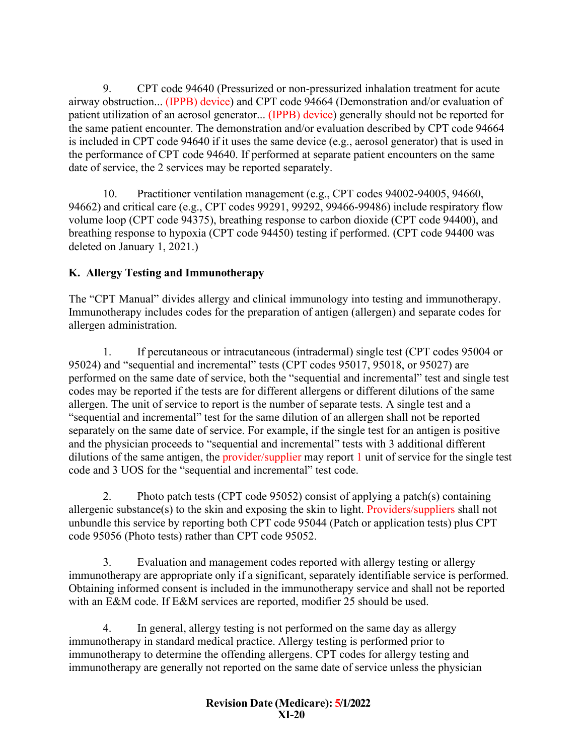9. CPT code 94640 (Pressurized or non-pressurized inhalation treatment for acute airway obstruction... (IPPB) device) and CPT code 94664 (Demonstration and/or evaluation of patient utilization of an aerosol generator... (IPPB) device) generally should not be reported for the same patient encounter. The demonstration and/or evaluation described by CPT code 94664 is included in CPT code 94640 if it uses the same device (e.g., aerosol generator) that is used in the performance of CPT code 94640. If performed at separate patient encounters on the same date of service, the 2 services may be reported separately.

10. Practitioner ventilation management (e.g., CPT codes 94002-94005, 94660, 94662) and critical care (e.g., CPT codes 99291, 99292, 99466-99486) include respiratory flow volume loop (CPT code 94375), breathing response to carbon dioxide (CPT code 94400), and breathing response to hypoxia (CPT code 94450) testing if performed. (CPT code 94400 was deleted on January 1, 2021.)

# <span id="page-19-0"></span>**K. Allergy Testing and Immunotherapy**

The "CPT Manual" divides allergy and clinical immunology into testing and immunotherapy. Immunotherapy includes codes for the preparation of antigen (allergen) and separate codes for allergen administration.

1. If percutaneous or intracutaneous (intradermal) single test (CPT codes 95004 or 95024) and "sequential and incremental" tests (CPT codes 95017, 95018, or 95027) are performed on the same date of service, both the "sequential and incremental" test and single test codes may be reported if the tests are for different allergens or different dilutions of the same allergen. The unit of service to report is the number of separate tests. A single test and a "sequential and incremental" test for the same dilution of an allergen shall not be reported separately on the same date of service. For example, if the single test for an antigen is positive and the physician proceeds to "sequential and incremental" tests with 3 additional different dilutions of the same antigen, the provider/supplier may report 1 unit of service for the single test code and 3 UOS for the "sequential and incremental" test code.

2. Photo patch tests (CPT code 95052) consist of applying a patch(s) containing allergenic substance(s) to the skin and exposing the skin to light. Providers/suppliers shall not unbundle this service by reporting both CPT code 95044 (Patch or application tests) plus CPT code 95056 (Photo tests) rather than CPT code 95052.

3. Evaluation and management codes reported with allergy testing or allergy immunotherapy are appropriate only if a significant, separately identifiable service is performed. Obtaining informed consent is included in the immunotherapy service and shall not be reported with an E&M code. If E&M services are reported, modifier 25 should be used.

4. In general, allergy testing is not performed on the same day as allergy immunotherapy in standard medical practice. Allergy testing is performed prior to immunotherapy to determine the offending allergens. CPT codes for allergy testing and immunotherapy are generally not reported on the same date of service unless the physician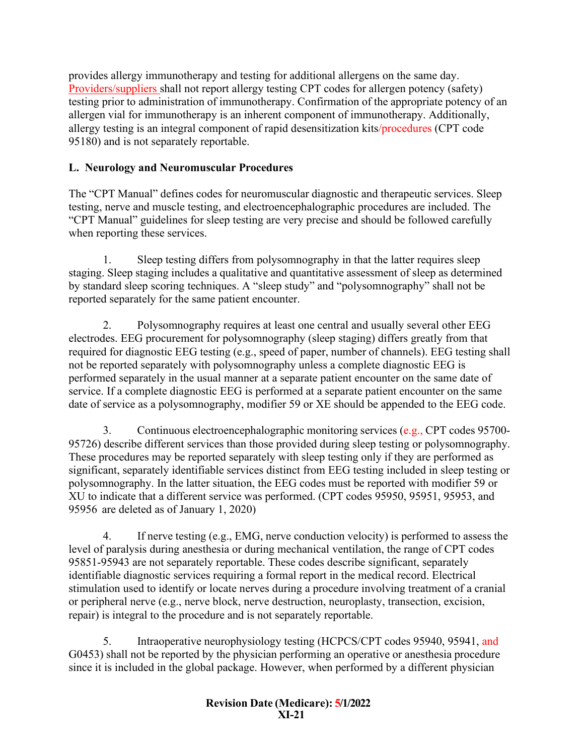provides allergy immunotherapy and testing for additional allergens on the same day. Providers/suppliers shall not report allergy testing CPT codes for allergen potency (safety) testing prior to administration of immunotherapy. Confirmation of the appropriate potency of an allergen vial for immunotherapy is an inherent component of immunotherapy. Additionally, allergy testing is an integral component of rapid desensitization kits/procedures (CPT code 95180) and is not separately reportable.

# <span id="page-20-0"></span>**L. Neurology and Neuromuscular Procedures**

The "CPT Manual" defines codes for neuromuscular diagnostic and therapeutic services. Sleep testing, nerve and muscle testing, and electroencephalographic procedures are included. The "CPT Manual" guidelines for sleep testing are very precise and should be followed carefully when reporting these services.

1. Sleep testing differs from polysomnography in that the latter requires sleep staging. Sleep staging includes a qualitative and quantitative assessment of sleep as determined by standard sleep scoring techniques. A "sleep study" and "polysomnography" shall not be reported separately for the same patient encounter.

2. Polysomnography requires at least one central and usually several other EEG electrodes. EEG procurement for polysomnography (sleep staging) differs greatly from that required for diagnostic EEG testing (e.g., speed of paper, number of channels). EEG testing shall not be reported separately with polysomnography unless a complete diagnostic EEG is performed separately in the usual manner at a separate patient encounter on the same date of service. If a complete diagnostic EEG is performed at a separate patient encounter on the same date of service as a polysomnography, modifier 59 or XE should be appended to the EEG code.

3. Continuous electroencephalographic monitoring services (e.g., CPT codes 95700- 95726) describe different services than those provided during sleep testing or polysomnography. These procedures may be reported separately with sleep testing only if they are performed as significant, separately identifiable services distinct from EEG testing included in sleep testing or polysomnography. In the latter situation, the EEG codes must be reported with modifier 59 or XU to indicate that a different service was performed. (CPT codes 95950, 95951, 95953, and 95956 are deleted as of January 1, 2020)

4. If nerve testing (e.g., EMG, nerve conduction velocity) is performed to assess the level of paralysis during anesthesia or during mechanical ventilation, the range of CPT codes 95851-95943 are not separately reportable. These codes describe significant, separately identifiable diagnostic services requiring a formal report in the medical record. Electrical stimulation used to identify or locate nerves during a procedure involving treatment of a cranial or peripheral nerve (e.g., nerve block, nerve destruction, neuroplasty, transection, excision, repair) is integral to the procedure and is not separately reportable.

5. Intraoperative neurophysiology testing (HCPCS/CPT codes 95940, 95941, and G0453) shall not be reported by the physician performing an operative or anesthesia procedure since it is included in the global package. However, when performed by a different physician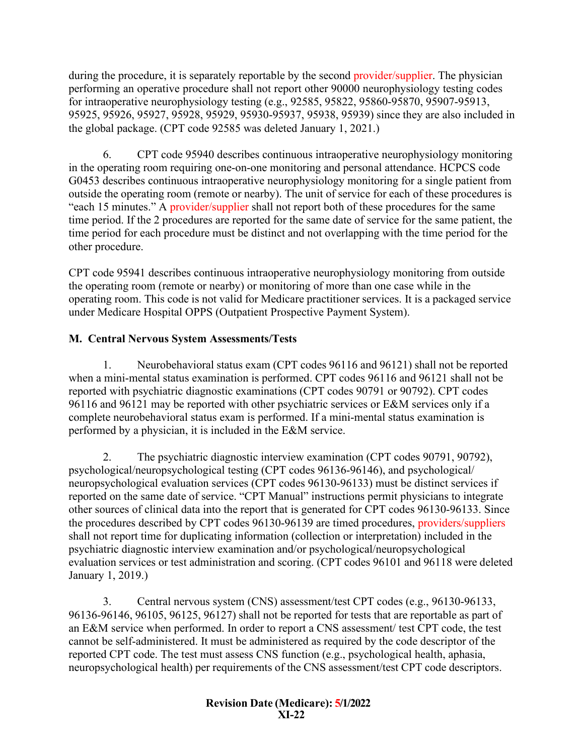during the procedure, it is separately reportable by the second provider/supplier. The physician performing an operative procedure shall not report other 90000 neurophysiology testing codes for intraoperative neurophysiology testing (e.g., 92585, 95822, 95860-95870, 95907-95913, 95925, 95926, 95927, 95928, 95929, 95930-95937, 95938, 95939) since they are also included in the global package. (CPT code 92585 was deleted January 1, 2021.)

6. CPT code 95940 describes continuous intraoperative neurophysiology monitoring in the operating room requiring one-on-one monitoring and personal attendance. HCPCS code G0453 describes continuous intraoperative neurophysiology monitoring for a single patient from outside the operating room (remote or nearby). The unit of service for each of these procedures is "each 15 minutes." A provider/supplier shall not report both of these procedures for the same time period. If the 2 procedures are reported for the same date of service for the same patient, the time period for each procedure must be distinct and not overlapping with the time period for the other procedure.

CPT code 95941 describes continuous intraoperative neurophysiology monitoring from outside the operating room (remote or nearby) or monitoring of more than one case while in the operating room. This code is not valid for Medicare practitioner services. It is a packaged service under Medicare Hospital OPPS (Outpatient Prospective Payment System).

# <span id="page-21-0"></span>**M. Central Nervous System Assessments/Tests**

1. Neurobehavioral status exam (CPT codes 96116 and 96121) shall not be reported when a mini-mental status examination is performed. CPT codes 96116 and 96121 shall not be reported with psychiatric diagnostic examinations (CPT codes 90791 or 90792). CPT codes 96116 and 96121 may be reported with other psychiatric services or E&M services only if a complete neurobehavioral status exam is performed. If a mini-mental status examination is performed by a physician, it is included in the E&M service.

2. The psychiatric diagnostic interview examination (CPT codes 90791, 90792), psychological/neuropsychological testing (CPT codes 96136-96146), and psychological/ neuropsychological evaluation services (CPT codes 96130-96133) must be distinct services if reported on the same date of service. "CPT Manual" instructions permit physicians to integrate other sources of clinical data into the report that is generated for CPT codes 96130-96133. Since the procedures described by CPT codes 96130-96139 are timed procedures, providers/suppliers shall not report time for duplicating information (collection or interpretation) included in the psychiatric diagnostic interview examination and/or psychological/neuropsychological evaluation services or test administration and scoring. (CPT codes 96101 and 96118 were deleted January 1, 2019.)

3. Central nervous system (CNS) assessment/test CPT codes (e.g., 96130-96133, 96136-96146, 96105, 96125, 96127) shall not be reported for tests that are reportable as part of an E&M service when performed. In order to report a CNS assessment/ test CPT code, the test cannot be self-administered. It must be administered as required by the code descriptor of the reported CPT code. The test must assess CNS function (e.g., psychological health, aphasia, neuropsychological health) per requirements of the CNS assessment/test CPT code descriptors.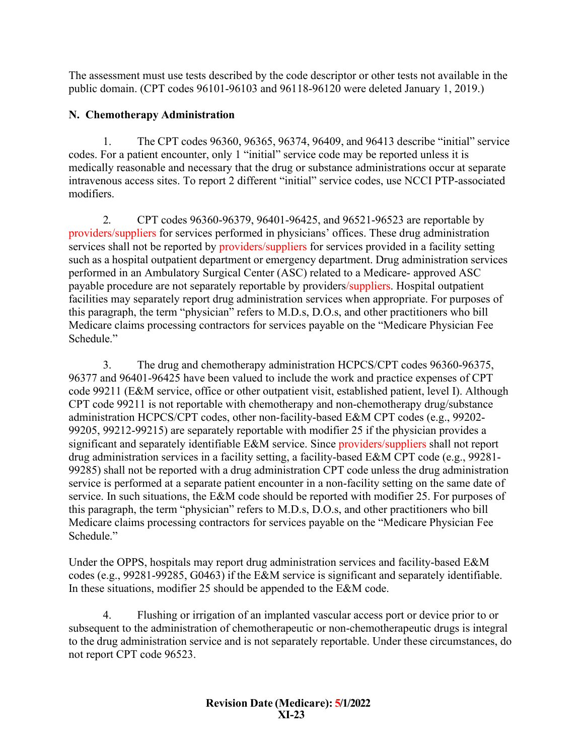The assessment must use tests described by the code descriptor or other tests not available in the public domain. (CPT codes 96101-96103 and 96118-96120 were deleted January 1, 2019.)

## <span id="page-22-0"></span>**N. Chemotherapy Administration**

1. The CPT codes 96360, 96365, 96374, 96409, and 96413 describe "initial" service codes. For a patient encounter, only 1 "initial" service code may be reported unless it is medically reasonable and necessary that the drug or substance administrations occur at separate intravenous access sites. To report 2 different "initial" service codes, use NCCI PTP-associated modifiers.

2. CPT codes 96360-96379, 96401-96425, and 96521-96523 are reportable by providers/suppliers for services performed in physicians' offices. These drug administration services shall not be reported by providers/suppliers for services provided in a facility setting such as a hospital outpatient department or emergency department. Drug administration services performed in an Ambulatory Surgical Center (ASC) related to a Medicare- approved ASC payable procedure are not separately reportable by providers/suppliers. Hospital outpatient facilities may separately report drug administration services when appropriate. For purposes of this paragraph, the term "physician" refers to M.D.s, D.O.s, and other practitioners who bill Medicare claims processing contractors for services payable on the "Medicare Physician Fee Schedule."

3. The drug and chemotherapy administration HCPCS/CPT codes 96360-96375, 96377 and 96401-96425 have been valued to include the work and practice expenses of CPT code 99211 (E&M service, office or other outpatient visit, established patient, level I). Although CPT code 99211 is not reportable with chemotherapy and non-chemotherapy drug/substance administration HCPCS/CPT codes, other non-facility-based E&M CPT codes (e.g., 99202- 99205, 99212-99215) are separately reportable with modifier 25 if the physician provides a significant and separately identifiable E&M service. Since providers/suppliers shall not report drug administration services in a facility setting, a facility-based E&M CPT code (e.g., 99281- 99285) shall not be reported with a drug administration CPT code unless the drug administration service is performed at a separate patient encounter in a non-facility setting on the same date of service. In such situations, the E&M code should be reported with modifier 25. For purposes of this paragraph, the term "physician" refers to M.D.s, D.O.s, and other practitioners who bill Medicare claims processing contractors for services payable on the "Medicare Physician Fee Schedule."

Under the OPPS, hospitals may report drug administration services and facility-based E&M codes (e.g., 99281-99285, G0463) if the E&M service is significant and separately identifiable. In these situations, modifier 25 should be appended to the E&M code.

4. Flushing or irrigation of an implanted vascular access port or device prior to or subsequent to the administration of chemotherapeutic or non-chemotherapeutic drugs is integral to the drug administration service and is not separately reportable. Under these circumstances, do not report CPT code 96523.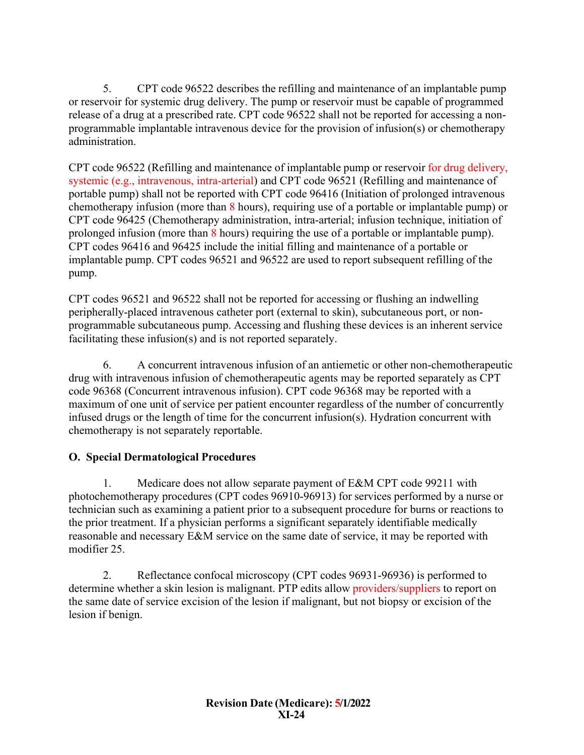<span id="page-23-1"></span>5. CPT code 96522 describes the refilling and maintenance of an implantable pump or reservoir for systemic drug delivery. The pump or reservoir must be capable of programmed release of a drug at a prescribed rate. CPT code 96522 shall not be reported for accessing a nonprogrammable implantable intravenous device for the provision of infusion(s) or chemotherapy administration.

CPT code 96522 (Refilling and maintenance of implantable pump or reservoir for drug delivery, systemic (e.g., intravenous, intra-arterial) and CPT code 96521 (Refilling and maintenance of portable pump) shall not be reported with CPT code 96416 (Initiation of prolonged intravenous chemotherapy infusion (more than 8 hours), requiring use of a portable or implantable pump) or CPT code 96425 (Chemotherapy administration, intra-arterial; infusion technique, initiation of prolonged infusion (more than 8 hours) requiring the use of a portable or implantable pump). CPT codes 96416 and 96425 include the initial filling and maintenance of a portable or implantable pump. CPT codes 96521 and 96522 are used to report subsequent refilling of the pump.

CPT codes 96521 and 96522 shall not be reported for accessing or flushing an indwelling peripherally-placed intravenous catheter port (external to skin), subcutaneous port, or nonprogrammable subcutaneous pump. Accessing and flushing these devices is an inherent service facilitating these infusion(s) and is not reported separately.

6. A concurrent intravenous infusion of an antiemetic or other non-chemotherapeutic drug with intravenous infusion of chemotherapeutic agents may be reported separately as CPT code 96368 (Concurrent intravenous infusion). CPT code 96368 may be reported with a maximum of one unit of service per patient encounter regardless of the number of concurrently infused drugs or the length of time for the concurrent infusion(s). Hydration concurrent with chemotherapy is not separately reportable.

# <span id="page-23-0"></span>**O. Special Dermatological Procedures**

1. Medicare does not allow separate payment of E&M CPT code 99211 with photochemotherapy procedures (CPT codes 96910-96913) for services performed by a nurse or technician such as examining a patient prior to a subsequent procedure for burns or reactions to the prior treatment. If a physician performs a significant separately identifiable medically reasonable and necessary E&M service on the same date of service, it may be reported with modifier 25.

2. Reflectance confocal microscopy (CPT codes 96931-96936) is performed to determine whether a skin lesion is malignant. PTP edits allow providers/suppliers to report on the same date of service excision of the lesion if malignant, but not biopsy or excision of the lesion if benign.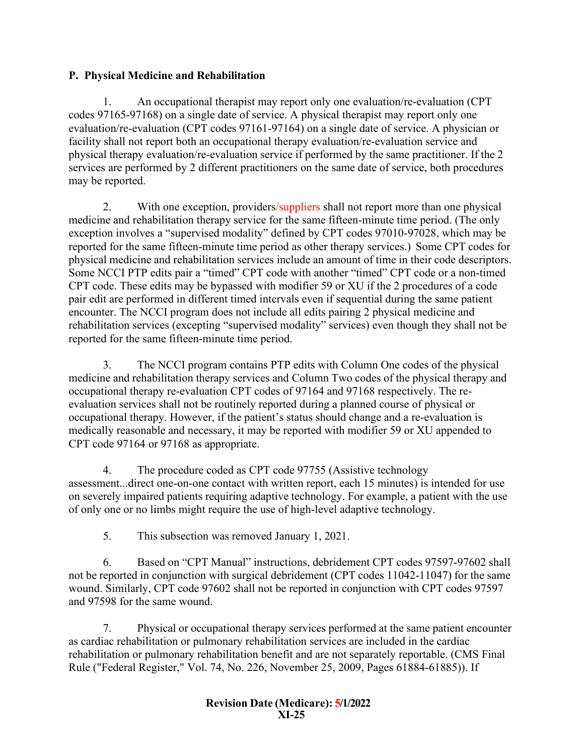# **P. Physical Medicine and Rehabilitation**

1. An occupational therapist may report only one evaluation/re-evaluation (CPT codes 97165-97168) on a single date of service. A physical therapist may report only one evaluation/re-evaluation (CPT codes 97161-97164) on a single date of service. A physician or facility shall not report both an occupational therapy evaluation/re-evaluation service and physical therapy evaluation/re-evaluation service if performed by the same practitioner. If the 2 services are performed by 2 different practitioners on the same date of service, both procedures may be reported.

2. With one exception, providers/suppliers shall not report more than one physical medicine and rehabilitation therapy service for the same fifteen-minute time period. (The only exception involves a "supervised modality" defined by CPT codes 97010-97028, which may be reported for the same fifteen-minute time period as other therapy services.) Some CPT codes for physical medicine and rehabilitation services include an amount of time in their code descriptors. Some NCCI PTP edits pair a "timed" CPT code with another "timed" CPT code or a non-timed CPT code. These edits may be bypassed with modifier 59 or XU if the 2 procedures of a code pair edit are performed in different timed intervals even if sequential during the same patient encounter. The NCCI program does not include all edits pairing 2 physical medicine and rehabilitation services (excepting "supervised modality" services) even though they shall not be reported for the same fifteen-minute time period.

3. The NCCI program contains PTP edits with Column One codes of the physical medicine and rehabilitation therapy services and Column Two codes of the physical therapy and occupational therapy re-evaluation CPT codes of 97164 and 97168 respectively. The reevaluation services shall not be routinely reported during a planned course of physical or occupational therapy. However, if the patient's status should change and a re-evaluation is medically reasonable and necessary, it may be reported with modifier 59 or XU appended to CPT code 97164 or 97168 as appropriate.

4. The procedure coded as CPT code 97755 (Assistive technology assessment...direct one-on-one contact with written report, each 15 minutes) is intended for use on severely impaired patients requiring adaptive technology. For example, a patient with the use of only one or no limbs might require the use of high-level adaptive technology.

5. This subsection was removed January 1, 2021.

6. Based on "CPT Manual" instructions, debridement CPT codes 97597-97602 shall not be reported in conjunction with surgical debridement (CPT codes 11042-11047) for the same wound. Similarly, CPT code 97602 shall not be reported in conjunction with CPT codes 97597 and 97598 for the same wound.

7. Physical or occupational therapy services performed at the same patient encounter as cardiac rehabilitation or pulmonary rehabilitation services are included in the cardiac rehabilitation or pulmonary rehabilitation benefit and are not separately reportable. (CMS Final Rule ("Federal Register," Vol. 74, No. 226, November 25, 2009, Pages 61884-61885)). If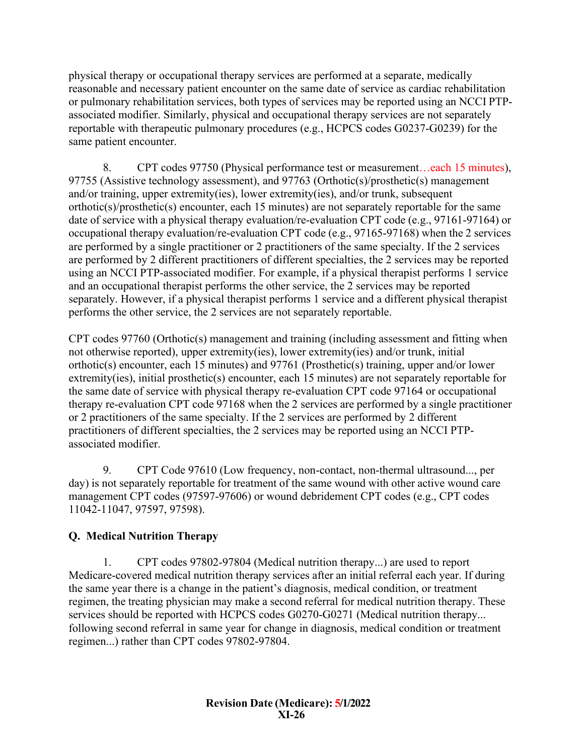physical therapy or occupational therapy services are performed at a separate, medically reasonable and necessary patient encounter on the same date of service as cardiac rehabilitation or pulmonary rehabilitation services, both types of services may be reported using an NCCI PTPassociated modifier. Similarly, physical and occupational therapy services are not separately reportable with therapeutic pulmonary procedures (e.g., HCPCS codes G0237-G0239) for the same patient encounter.

8. CPT codes 97750 (Physical performance test or measurement…each 15 minutes), 97755 (Assistive technology assessment), and 97763 (Orthotic(s)/prosthetic(s) management and/or training, upper extremity(ies), lower extremity(ies), and/or trunk, subsequent orthotic(s)/prosthetic(s) encounter, each 15 minutes) are not separately reportable for the same date of service with a physical therapy evaluation/re-evaluation CPT code (e.g., 97161-97164) or occupational therapy evaluation/re-evaluation CPT code (e.g., 97165-97168) when the 2 services are performed by a single practitioner or 2 practitioners of the same specialty. If the 2 services are performed by 2 different practitioners of different specialties, the 2 services may be reported using an NCCI PTP-associated modifier. For example, if a physical therapist performs 1 service and an occupational therapist performs the other service, the 2 services may be reported separately. However, if a physical therapist performs 1 service and a different physical therapist performs the other service, the 2 services are not separately reportable.

CPT codes 97760 (Orthotic(s) management and training (including assessment and fitting when not otherwise reported), upper extremity(ies), lower extremity(ies) and/or trunk, initial orthotic(s) encounter, each 15 minutes) and 97761 (Prosthetic(s) training, upper and/or lower extremity(ies), initial prosthetic(s) encounter, each 15 minutes) are not separately reportable for the same date of service with physical therapy re-evaluation CPT code 97164 or occupational therapy re-evaluation CPT code 97168 when the 2 services are performed by a single practitioner or 2 practitioners of the same specialty. If the 2 services are performed by 2 different practitioners of different specialties, the 2 services may be reported using an NCCI PTPassociated modifier.

9. CPT Code 97610 (Low frequency, non-contact, non-thermal ultrasound..., per day) is not separately reportable for treatment of the same wound with other active wound care management CPT codes (97597-97606) or wound debridement CPT codes (e.g., CPT codes 11042-11047, 97597, 97598).

# <span id="page-25-0"></span>**Q. Medical Nutrition Therapy**

1. CPT codes 97802-97804 (Medical nutrition therapy...) are used to report Medicare-covered medical nutrition therapy services after an initial referral each year. If during the same year there is a change in the patient's diagnosis, medical condition, or treatment regimen, the treating physician may make a second referral for medical nutrition therapy. These services should be reported with HCPCS codes G0270-G0271 (Medical nutrition therapy... following second referral in same year for change in diagnosis, medical condition or treatment regimen...) rather than CPT codes 97802-97804.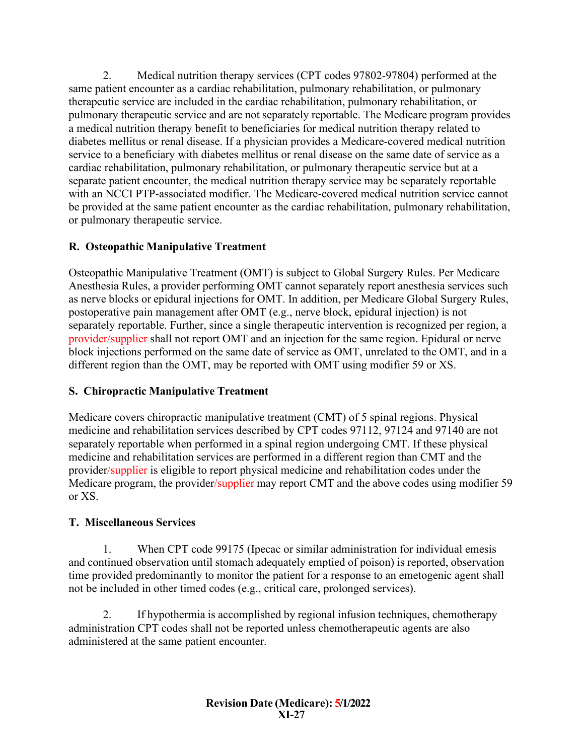2. Medical nutrition therapy services (CPT codes 97802-97804) performed at the same patient encounter as a cardiac rehabilitation, pulmonary rehabilitation, or pulmonary therapeutic service are included in the cardiac rehabilitation, pulmonary rehabilitation, or pulmonary therapeutic service and are not separately reportable. The Medicare program provides a medical nutrition therapy benefit to beneficiaries for medical nutrition therapy related to diabetes mellitus or renal disease. If a physician provides a Medicare-covered medical nutrition service to a beneficiary with diabetes mellitus or renal disease on the same date of service as a cardiac rehabilitation, pulmonary rehabilitation, or pulmonary therapeutic service but at a separate patient encounter, the medical nutrition therapy service may be separately reportable with an NCCI PTP-associated modifier. The Medicare-covered medical nutrition service cannot be provided at the same patient encounter as the cardiac rehabilitation, pulmonary rehabilitation, or pulmonary therapeutic service.

## <span id="page-26-0"></span>**R. Osteopathic Manipulative Treatment**

Osteopathic Manipulative Treatment (OMT) is subject to Global Surgery Rules. Per Medicare Anesthesia Rules, a provider performing OMT cannot separately report anesthesia services such as nerve blocks or epidural injections for OMT. In addition, per Medicare Global Surgery Rules, postoperative pain management after OMT (e.g., nerve block, epidural injection) is not separately reportable. Further, since a single therapeutic intervention is recognized per region, a provider/supplier shall not report OMT and an injection for the same region. Epidural or nerve block injections performed on the same date of service as OMT, unrelated to the OMT, and in a different region than the OMT, may be reported with OMT using modifier 59 or XS.

## <span id="page-26-1"></span>**S. Chiropractic Manipulative Treatment**

Medicare covers chiropractic manipulative treatment (CMT) of 5 spinal regions. Physical medicine and rehabilitation services described by CPT codes 97112, 97124 and 97140 are not separately reportable when performed in a spinal region undergoing CMT. If these physical medicine and rehabilitation services are performed in a different region than CMT and the provider/supplier is eligible to report physical medicine and rehabilitation codes under the Medicare program, the provider/supplier may report CMT and the above codes using modifier 59 or XS.

## <span id="page-26-2"></span>**T. Miscellaneous Services**

1. When CPT code 99175 (Ipecac or similar administration for individual emesis and continued observation until stomach adequately emptied of poison) is reported, observation time provided predominantly to monitor the patient for a response to an emetogenic agent shall not be included in other timed codes (e.g., critical care, prolonged services).

2. If hypothermia is accomplished by regional infusion techniques, chemotherapy administration CPT codes shall not be reported unless chemotherapeutic agents are also administered at the same patient encounter.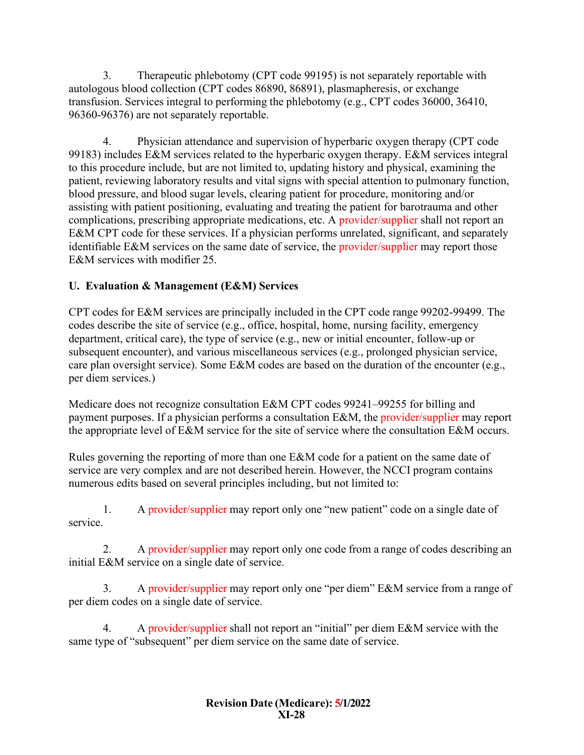3. Therapeutic phlebotomy (CPT code 99195) is not separately reportable with autologous blood collection (CPT codes 86890, 86891), plasmapheresis, or exchange transfusion. Services integral to performing the phlebotomy (e.g., CPT codes 36000, 36410, 96360-96376) are not separately reportable.

4. Physician attendance and supervision of hyperbaric oxygen therapy (CPT code 99183) includes E&M services related to the hyperbaric oxygen therapy. E&M services integral to this procedure include, but are not limited to, updating history and physical, examining the patient, reviewing laboratory results and vital signs with special attention to pulmonary function, blood pressure, and blood sugar levels, clearing patient for procedure, monitoring and/or assisting with patient positioning, evaluating and treating the patient for barotrauma and other complications, prescribing appropriate medications, etc. A provider/supplier shall not report an E&M CPT code for these services. If a physician performs unrelated, significant, and separately identifiable E&M services on the same date of service, the provider/supplier may report those E&M services with modifier 25.

# <span id="page-27-0"></span>**U. Evaluation & Management (E&M) Services**

CPT codes for E&M services are principally included in the CPT code range 99202-99499. The codes describe the site of service (e.g., office, hospital, home, nursing facility, emergency department, critical care), the type of service (e.g., new or initial encounter, follow-up or subsequent encounter), and various miscellaneous services (e.g., prolonged physician service, care plan oversight service). Some E&M codes are based on the duration of the encounter (e.g., per diem services.)

Medicare does not recognize consultation E&M CPT codes 99241–99255 for billing and payment purposes. If a physician performs a consultation E&M, the provider/supplier may report the appropriate level of E&M service for the site of service where the consultation E&M occurs.

Rules governing the reporting of more than one E&M code for a patient on the same date of service are very complex and are not described herein. However, the NCCI program contains numerous edits based on several principles including, but not limited to:

1. A provider/supplier may report only one "new patient" code on a single date of service.

2. A provider/supplier may report only one code from a range of codes describing an initial E&M service on a single date of service.

3. A provider/supplier may report only one "per diem" E&M service from a range of per diem codes on a single date of service.

4. A provider/supplier shall not report an "initial" per diem E&M service with the same type of "subsequent" per diem service on the same date of service.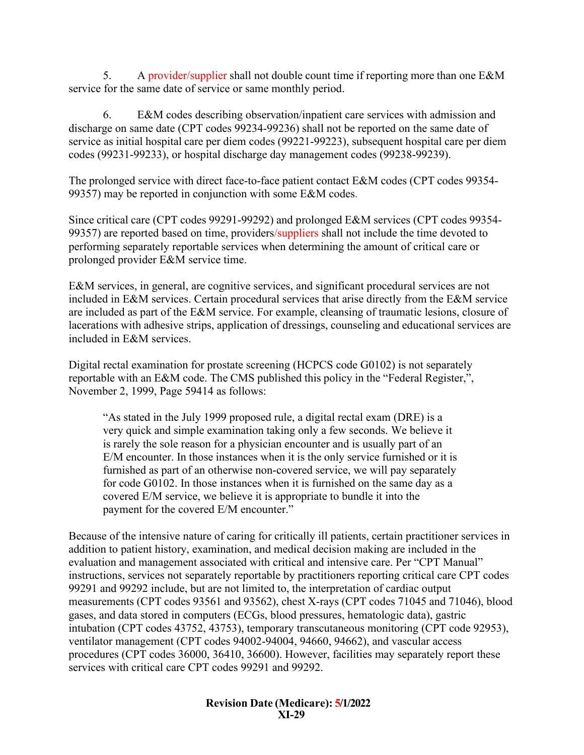5. A provider/supplier shall not double count time if reporting more than one E&M service for the same date of service or same monthly period.

6. E&M codes describing observation/inpatient care services with admission and discharge on same date (CPT codes 99234-99236) shall not be reported on the same date of service as initial hospital care per diem codes (99221-99223), subsequent hospital care per diem codes (99231-99233), or hospital discharge day management codes (99238-99239).

The prolonged service with direct face-to-face patient contact E&M codes (CPT codes 99354- 99357) may be reported in conjunction with some E&M codes.

Since critical care (CPT codes 99291-99292) and prolonged E&M services (CPT codes 99354- 99357) are reported based on time, providers/suppliers shall not include the time devoted to performing separately reportable services when determining the amount of critical care or prolonged provider E&M service time.

E&M services, in general, are cognitive services, and significant procedural services are not included in E&M services. Certain procedural services that arise directly from the E&M service are included as part of the E&M service. For example, cleansing of traumatic lesions, closure of lacerations with adhesive strips, application of dressings, counseling and educational services are included in E&M services.

Digital rectal examination for prostate screening (HCPCS code G0102) is not separately reportable with an E&M code. The CMS published this policy in the "Federal Register,", November 2, 1999, Page 59414 as follows:

"As stated in the July 1999 proposed rule, a digital rectal exam (DRE) is a very quick and simple examination taking only a few seconds. We believe it is rarely the sole reason for a physician encounter and is usually part of an E/M encounter. In those instances when it is the only service furnished or it is furnished as part of an otherwise non-covered service, we will pay separately for code G0102. In those instances when it is furnished on the same day as a covered E/M service, we believe it is appropriate to bundle it into the payment for the covered E/M encounter."

Because of the intensive nature of caring for critically ill patients, certain practitioner services in addition to patient history, examination, and medical decision making are included in the evaluation and management associated with critical and intensive care. Per "CPT Manual" instructions, services not separately reportable by practitioners reporting critical care CPT codes 99291 and 99292 include, but are not limited to, the interpretation of cardiac output measurements (CPT codes 93561 and 93562), chest X-rays (CPT codes 71045 and 71046), blood gases, and data stored in computers (ECGs, blood pressures, hematologic data), gastric intubation (CPT codes 43752, 43753), temporary transcutaneous monitoring (CPT code 92953), ventilator management (CPT codes 94002-94004, 94660, 94662), and vascular access procedures (CPT codes 36000, 36410, 36600). However, facilities may separately report these services with critical care CPT codes 99291 and 99292.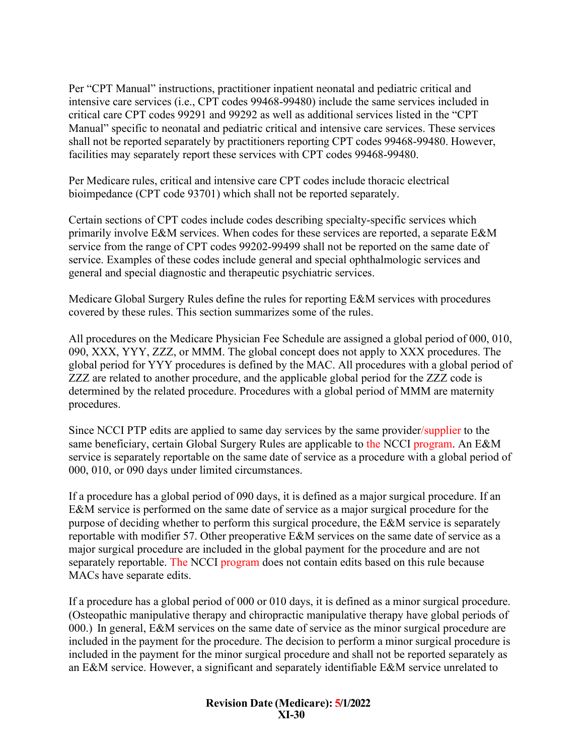Per "CPT Manual" instructions, practitioner inpatient neonatal and pediatric critical and intensive care services (i.e., CPT codes 99468-99480) include the same services included in critical care CPT codes 99291 and 99292 as well as additional services listed in the "CPT Manual" specific to neonatal and pediatric critical and intensive care services. These services shall not be reported separately by practitioners reporting CPT codes 99468-99480. However, facilities may separately report these services with CPT codes 99468-99480.

Per Medicare rules, critical and intensive care CPT codes include thoracic electrical bioimpedance (CPT code 93701) which shall not be reported separately.

Certain sections of CPT codes include codes describing specialty-specific services which primarily involve E&M services. When codes for these services are reported, a separate E&M service from the range of CPT codes 99202-99499 shall not be reported on the same date of service. Examples of these codes include general and special ophthalmologic services and general and special diagnostic and therapeutic psychiatric services.

Medicare Global Surgery Rules define the rules for reporting E&M services with procedures covered by these rules. This section summarizes some of the rules.

All procedures on the Medicare Physician Fee Schedule are assigned a global period of 000, 010, 090, XXX, YYY, ZZZ, or MMM. The global concept does not apply to XXX procedures. The global period for YYY procedures is defined by the MAC. All procedures with a global period of ZZZ are related to another procedure, and the applicable global period for the ZZZ code is determined by the related procedure. Procedures with a global period of MMM are maternity procedures.

Since NCCI PTP edits are applied to same day services by the same provider/supplier to the same beneficiary, certain Global Surgery Rules are applicable to the NCCI program. An E&M service is separately reportable on the same date of service as a procedure with a global period of 000, 010, or 090 days under limited circumstances.

If a procedure has a global period of 090 days, it is defined as a major surgical procedure. If an E&M service is performed on the same date of service as a major surgical procedure for the purpose of deciding whether to perform this surgical procedure, the E&M service is separately reportable with modifier 57. Other preoperative E&M services on the same date of service as a major surgical procedure are included in the global payment for the procedure and are not separately reportable. The NCCI program does not contain edits based on this rule because MACs have separate edits.

If a procedure has a global period of 000 or 010 days, it is defined as a minor surgical procedure. (Osteopathic manipulative therapy and chiropractic manipulative therapy have global periods of 000.) In general, E&M services on the same date of service as the minor surgical procedure are included in the payment for the procedure. The decision to perform a minor surgical procedure is included in the payment for the minor surgical procedure and shall not be reported separately as an E&M service. However, a significant and separately identifiable E&M service unrelated to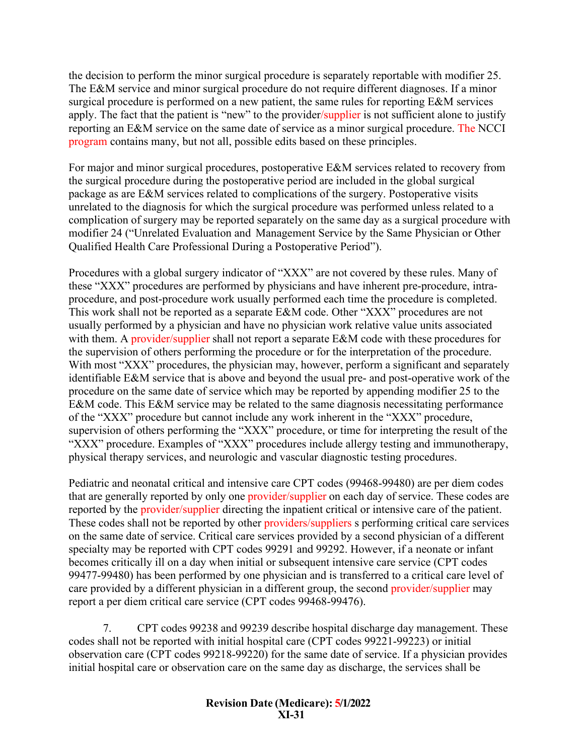the decision to perform the minor surgical procedure is separately reportable with modifier 25. The E&M service and minor surgical procedure do not require different diagnoses. If a minor surgical procedure is performed on a new patient, the same rules for reporting E&M services apply. The fact that the patient is "new" to the provider/supplier is not sufficient alone to justify reporting an E&M service on the same date of service as a minor surgical procedure. The NCCI program contains many, but not all, possible edits based on these principles.

For major and minor surgical procedures, postoperative E&M services related to recovery from the surgical procedure during the postoperative period are included in the global surgical package as are E&M services related to complications of the surgery. Postoperative visits unrelated to the diagnosis for which the surgical procedure was performed unless related to a complication of surgery may be reported separately on the same day as a surgical procedure with modifier 24 ("Unrelated Evaluation and Management Service by the Same Physician or Other Qualified Health Care Professional During a Postoperative Period").

Procedures with a global surgery indicator of "XXX" are not covered by these rules. Many of these "XXX" procedures are performed by physicians and have inherent pre-procedure, intraprocedure, and post-procedure work usually performed each time the procedure is completed. This work shall not be reported as a separate E&M code. Other "XXX" procedures are not usually performed by a physician and have no physician work relative value units associated with them. A provider/supplier shall not report a separate E&M code with these procedures for the supervision of others performing the procedure or for the interpretation of the procedure. With most "XXX" procedures, the physician may, however, perform a significant and separately identifiable E&M service that is above and beyond the usual pre- and post-operative work of the procedure on the same date of service which may be reported by appending modifier 25 to the E&M code. This E&M service may be related to the same diagnosis necessitating performance of the "XXX" procedure but cannot include any work inherent in the "XXX" procedure, supervision of others performing the "XXX" procedure, or time for interpreting the result of the "XXX" procedure. Examples of "XXX" procedures include allergy testing and immunotherapy, physical therapy services, and neurologic and vascular diagnostic testing procedures.

Pediatric and neonatal critical and intensive care CPT codes (99468-99480) are per diem codes that are generally reported by only one provider/supplier on each day of service. These codes are reported by the provider/supplier directing the inpatient critical or intensive care of the patient. These codes shall not be reported by other providers/suppliers s performing critical care services on the same date of service. Critical care services provided by a second physician of a different specialty may be reported with CPT codes 99291 and 99292. However, if a neonate or infant becomes critically ill on a day when initial or subsequent intensive care service (CPT codes 99477-99480) has been performed by one physician and is transferred to a critical care level of care provided by a different physician in a different group, the second provider/supplier may report a per diem critical care service (CPT codes 99468-99476).

7. CPT codes 99238 and 99239 describe hospital discharge day management. These codes shall not be reported with initial hospital care (CPT codes 99221-99223) or initial observation care (CPT codes 99218-99220) for the same date of service. If a physician provides initial hospital care or observation care on the same day as discharge, the services shall be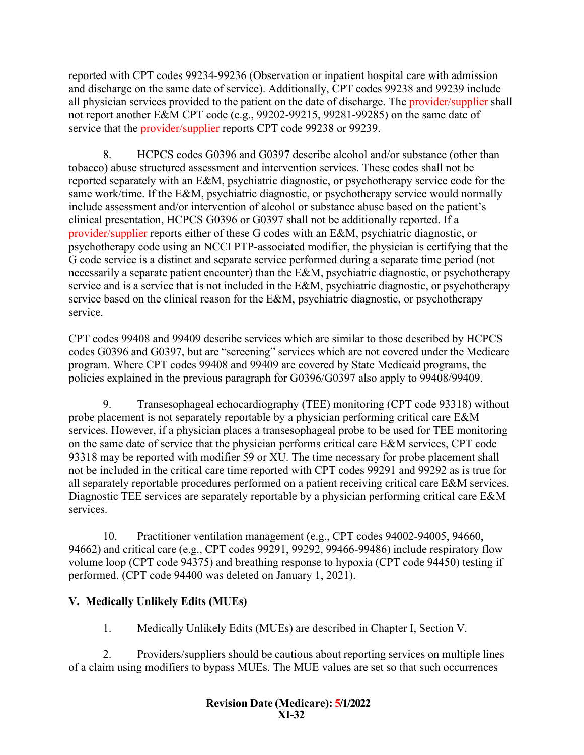reported with CPT codes 99234-99236 (Observation or inpatient hospital care with admission and discharge on the same date of service). Additionally, CPT codes 99238 and 99239 include all physician services provided to the patient on the date of discharge. The provider/supplier shall not report another E&M CPT code (e.g., 99202-99215, 99281-99285) on the same date of service that the provider/supplier reports CPT code 99238 or 99239.

8. HCPCS codes G0396 and G0397 describe alcohol and/or substance (other than tobacco) abuse structured assessment and intervention services. These codes shall not be reported separately with an E&M, psychiatric diagnostic, or psychotherapy service code for the same work/time. If the E&M, psychiatric diagnostic, or psychotherapy service would normally include assessment and/or intervention of alcohol or substance abuse based on the patient's clinical presentation, HCPCS G0396 or G0397 shall not be additionally reported. If a provider/supplier reports either of these G codes with an E&M, psychiatric diagnostic, or psychotherapy code using an NCCI PTP-associated modifier, the physician is certifying that the G code service is a distinct and separate service performed during a separate time period (not necessarily a separate patient encounter) than the E&M, psychiatric diagnostic, or psychotherapy service and is a service that is not included in the E&M, psychiatric diagnostic, or psychotherapy service based on the clinical reason for the E&M, psychiatric diagnostic, or psychotherapy service.

CPT codes 99408 and 99409 describe services which are similar to those described by HCPCS codes G0396 and G0397, but are "screening" services which are not covered under the Medicare program. Where CPT codes 99408 and 99409 are covered by State Medicaid programs, the policies explained in the previous paragraph for G0396/G0397 also apply to 99408/99409.

9. Transesophageal echocardiography (TEE) monitoring (CPT code 93318) without probe placement is not separately reportable by a physician performing critical care E&M services. However, if a physician places a transesophageal probe to be used for TEE monitoring on the same date of service that the physician performs critical care E&M services, CPT code 93318 may be reported with modifier 59 or XU. The time necessary for probe placement shall not be included in the critical care time reported with CPT codes 99291 and 99292 as is true for all separately reportable procedures performed on a patient receiving critical care E&M services. Diagnostic TEE services are separately reportable by a physician performing critical care E&M services.

10. Practitioner ventilation management (e.g., CPT codes 94002-94005, 94660, 94662) and critical care (e.g., CPT codes 99291, 99292, 99466-99486) include respiratory flow volume loop (CPT code 94375) and breathing response to hypoxia (CPT code 94450) testing if performed. (CPT code 94400 was deleted on January 1, 2021).

# <span id="page-31-0"></span>**V. Medically Unlikely Edits (MUEs)**

1. Medically Unlikely Edits (MUEs) are described in Chapter I, Section V.

2. Providers/suppliers should be cautious about reporting services on multiple lines of a claim using modifiers to bypass MUEs. The MUE values are set so that such occurrences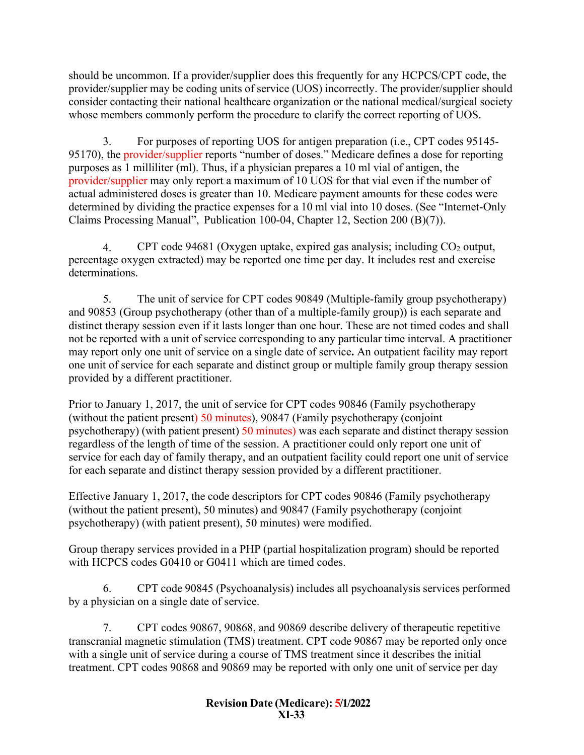should be uncommon. If a provider/supplier does this frequently for any HCPCS/CPT code, the provider/supplier may be coding units of service (UOS) incorrectly. The provider/supplier should consider contacting their national healthcare organization or the national medical/surgical society whose members commonly perform the procedure to clarify the correct reporting of UOS.

3. For purposes of reporting UOS for antigen preparation (i.e., CPT codes 95145- 95170), the provider/supplier reports "number of doses." Medicare defines a dose for reporting purposes as 1 milliliter (ml). Thus, if a physician prepares a 10 ml vial of antigen, the provider/supplier may only report a maximum of 10 UOS for that vial even if the number of actual administered doses is greater than 10. Medicare payment amounts for these codes were determined by dividing the practice expenses for a 10 ml vial into 10 doses. (See "Internet-Only Claims Processing Manual", Publication 100-04, Chapter 12, Section 200 (B)(7)).

4. CPT code 94681 (Oxygen uptake, expired gas analysis; including  $CO<sub>2</sub>$  output, percentage oxygen extracted) may be reported one time per day. It includes rest and exercise determinations.

5. The unit of service for CPT codes 90849 (Multiple-family group psychotherapy) and 90853 (Group psychotherapy (other than of a multiple-family group)) is each separate and distinct therapy session even if it lasts longer than one hour. These are not timed codes and shall not be reported with a unit of service corresponding to any particular time interval. A practitioner may report only one unit of service on a single date of service**.** An outpatient facility may report one unit of service for each separate and distinct group or multiple family group therapy session provided by a different practitioner.

Prior to January 1, 2017, the unit of service for CPT codes 90846 (Family psychotherapy (without the patient present) 50 minutes), 90847 (Family psychotherapy (conjoint psychotherapy) (with patient present) 50 minutes) was each separate and distinct therapy session regardless of the length of time of the session. A practitioner could only report one unit of service for each day of family therapy, and an outpatient facility could report one unit of service for each separate and distinct therapy session provided by a different practitioner.

Effective January 1, 2017, the code descriptors for CPT codes 90846 (Family psychotherapy (without the patient present), 50 minutes) and 90847 (Family psychotherapy (conjoint psychotherapy) (with patient present), 50 minutes) were modified.

Group therapy services provided in a PHP (partial hospitalization program) should be reported with HCPCS codes G0410 or G0411 which are timed codes.

6. CPT code 90845 (Psychoanalysis) includes all psychoanalysis services performed by a physician on a single date of service.

7. CPT codes 90867, 90868, and 90869 describe delivery of therapeutic repetitive transcranial magnetic stimulation (TMS) treatment. CPT code 90867 may be reported only once with a single unit of service during a course of TMS treatment since it describes the initial treatment. CPT codes 90868 and 90869 may be reported with only one unit of service per day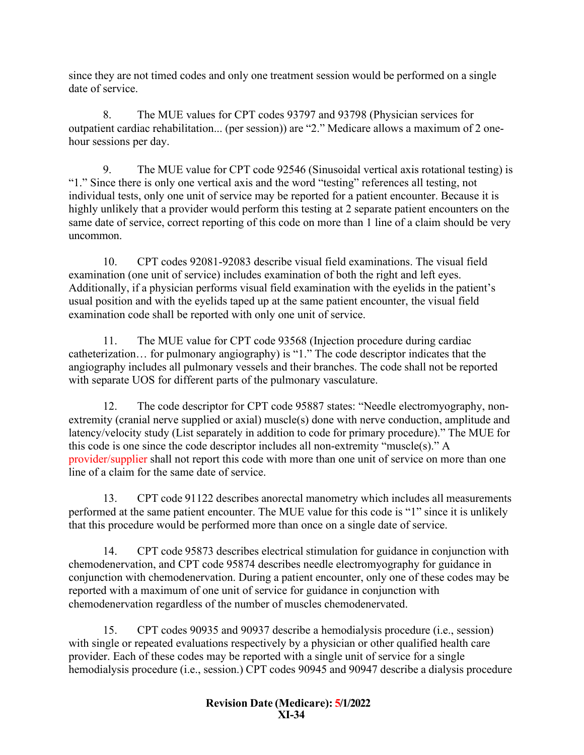since they are not timed codes and only one treatment session would be performed on a single date of service.

8. The MUE values for CPT codes 93797 and 93798 (Physician services for outpatient cardiac rehabilitation... (per session)) are "2." Medicare allows a maximum of 2 onehour sessions per day.

9. The MUE value for CPT code 92546 (Sinusoidal vertical axis rotational testing) is "1." Since there is only one vertical axis and the word "testing" references all testing, not individual tests, only one unit of service may be reported for a patient encounter. Because it is highly unlikely that a provider would perform this testing at 2 separate patient encounters on the same date of service, correct reporting of this code on more than 1 line of a claim should be very uncommon.

10. CPT codes 92081-92083 describe visual field examinations. The visual field examination (one unit of service) includes examination of both the right and left eyes. Additionally, if a physician performs visual field examination with the eyelids in the patient's usual position and with the eyelids taped up at the same patient encounter, the visual field examination code shall be reported with only one unit of service.

11. The MUE value for CPT code 93568 (Injection procedure during cardiac catheterization… for pulmonary angiography) is "1." The code descriptor indicates that the angiography includes all pulmonary vessels and their branches. The code shall not be reported with separate UOS for different parts of the pulmonary vasculature.

12. The code descriptor for CPT code 95887 states: "Needle electromyography, nonextremity (cranial nerve supplied or axial) muscle(s) done with nerve conduction, amplitude and latency/velocity study (List separately in addition to code for primary procedure)." The MUE for this code is one since the code descriptor includes all non-extremity "muscle(s)." A provider/supplier shall not report this code with more than one unit of service on more than one line of a claim for the same date of service.

13. CPT code 91122 describes anorectal manometry which includes all measurements performed at the same patient encounter. The MUE value for this code is "1" since it is unlikely that this procedure would be performed more than once on a single date of service.

14. CPT code 95873 describes electrical stimulation for guidance in conjunction with chemodenervation, and CPT code 95874 describes needle electromyography for guidance in conjunction with chemodenervation. During a patient encounter, only one of these codes may be reported with a maximum of one unit of service for guidance in conjunction with chemodenervation regardless of the number of muscles chemodenervated.

15. CPT codes 90935 and 90937 describe a hemodialysis procedure (i.e., session) with single or repeated evaluations respectively by a physician or other qualified health care provider. Each of these codes may be reported with a single unit of service for a single hemodialysis procedure (i.e., session.) CPT codes 90945 and 90947 describe a dialysis procedure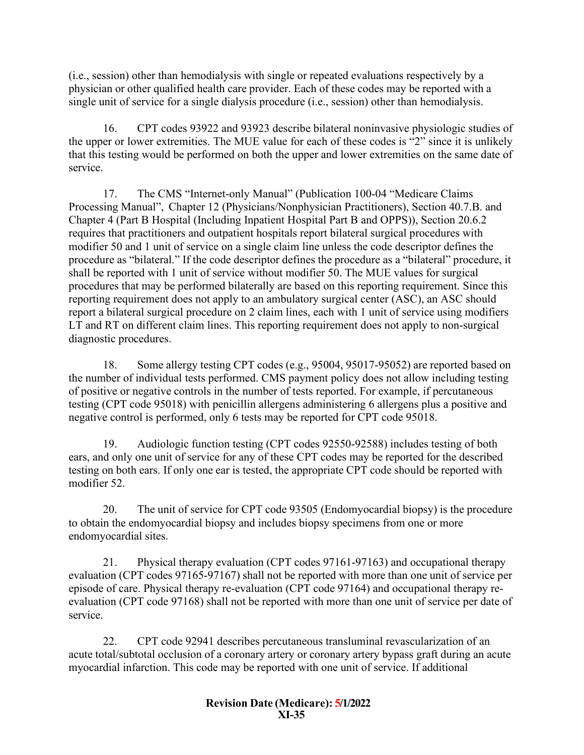(i.e., session) other than hemodialysis with single or repeated evaluations respectively by a physician or other qualified health care provider. Each of these codes may be reported with a single unit of service for a single dialysis procedure (i.e., session) other than hemodialysis.

16. CPT codes 93922 and 93923 describe bilateral noninvasive physiologic studies of the upper or lower extremities. The MUE value for each of these codes is "2" since it is unlikely that this testing would be performed on both the upper and lower extremities on the same date of service.

17. The CMS "Internet-only Manual" (Publication 100-04 "Medicare Claims Processing Manual", Chapter 12 (Physicians/Nonphysician Practitioners), Section 40.7.B. and Chapter 4 (Part B Hospital (Including Inpatient Hospital Part B and OPPS)), Section 20.6.2 requires that practitioners and outpatient hospitals report bilateral surgical procedures with modifier 50 and 1 unit of service on a single claim line unless the code descriptor defines the procedure as "bilateral." If the code descriptor defines the procedure as a "bilateral" procedure, it shall be reported with 1 unit of service without modifier 50. The MUE values for surgical procedures that may be performed bilaterally are based on this reporting requirement. Since this reporting requirement does not apply to an ambulatory surgical center (ASC), an ASC should report a bilateral surgical procedure on 2 claim lines, each with 1 unit of service using modifiers LT and RT on different claim lines. This reporting requirement does not apply to non-surgical diagnostic procedures.

18. Some allergy testing CPT codes (e.g., 95004, 95017-95052) are reported based on the number of individual tests performed. CMS payment policy does not allow including testing of positive or negative controls in the number of tests reported. For example, if percutaneous testing (CPT code 95018) with penicillin allergens administering 6 allergens plus a positive and negative control is performed, only 6 tests may be reported for CPT code 95018.

19. Audiologic function testing (CPT codes 92550-92588) includes testing of both ears, and only one unit of service for any of these CPT codes may be reported for the described testing on both ears. If only one ear is tested, the appropriate CPT code should be reported with modifier 52.

20. The unit of service for CPT code 93505 (Endomyocardial biopsy) is the procedure to obtain the endomyocardial biopsy and includes biopsy specimens from one or more endomyocardial sites.

21. Physical therapy evaluation (CPT codes 97161-97163) and occupational therapy evaluation (CPT codes 97165-97167) shall not be reported with more than one unit of service per episode of care. Physical therapy re-evaluation (CPT code 97164) and occupational therapy reevaluation (CPT code 97168) shall not be reported with more than one unit of service per date of service.

22. CPT code 92941 describes percutaneous transluminal revascularization of an acute total/subtotal occlusion of a coronary artery or coronary artery bypass graft during an acute myocardial infarction. This code may be reported with one unit of service. If additional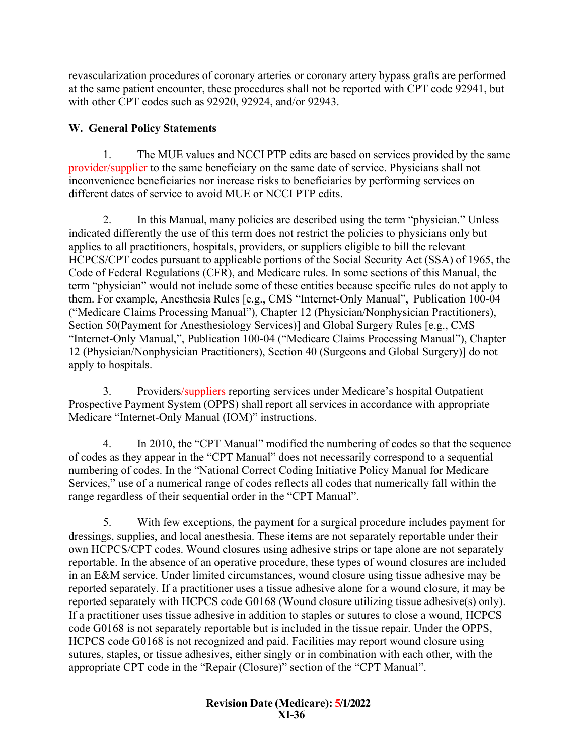revascularization procedures of coronary arteries or coronary artery bypass grafts are performed at the same patient encounter, these procedures shall not be reported with CPT code 92941, but with other CPT codes such as 92920, 92924, and/or 92943.

## <span id="page-35-0"></span>**W. General Policy Statements**

1. The MUE values and NCCI PTP edits are based on services provided by the same provider/supplier to the same beneficiary on the same date of service. Physicians shall not inconvenience beneficiaries nor increase risks to beneficiaries by performing services on different dates of service to avoid MUE or NCCI PTP edits.

2. In this Manual, many policies are described using the term "physician." Unless indicated differently the use of this term does not restrict the policies to physicians only but applies to all practitioners, hospitals, providers, or suppliers eligible to bill the relevant HCPCS/CPT codes pursuant to applicable portions of the Social Security Act (SSA) of 1965, the Code of Federal Regulations (CFR), and Medicare rules. In some sections of this Manual, the term "physician" would not include some of these entities because specific rules do not apply to them. For example, Anesthesia Rules [e.g., CMS "Internet-Only Manual", Publication 100-04 ("Medicare Claims Processing Manual"), Chapter 12 (Physician/Nonphysician Practitioners), Section 50(Payment for Anesthesiology Services)] and Global Surgery Rules [e.g., CMS "Internet-Only Manual,", Publication 100-04 ("Medicare Claims Processing Manual"), Chapter 12 (Physician/Nonphysician Practitioners), Section 40 (Surgeons and Global Surgery)] do not apply to hospitals.

3. Providers/suppliers reporting services under Medicare's hospital Outpatient Prospective Payment System (OPPS) shall report all services in accordance with appropriate Medicare "Internet-Only Manual (IOM)" instructions.

4. In 2010, the "CPT Manual" modified the numbering of codes so that the sequence of codes as they appear in the "CPT Manual" does not necessarily correspond to a sequential numbering of codes. In the "National Correct Coding Initiative Policy Manual for Medicare Services," use of a numerical range of codes reflects all codes that numerically fall within the range regardless of their sequential order in the "CPT Manual".

5. With few exceptions, the payment for a surgical procedure includes payment for dressings, supplies, and local anesthesia. These items are not separately reportable under their own HCPCS/CPT codes. Wound closures using adhesive strips or tape alone are not separately reportable. In the absence of an operative procedure, these types of wound closures are included in an E&M service. Under limited circumstances, wound closure using tissue adhesive may be reported separately. If a practitioner uses a tissue adhesive alone for a wound closure, it may be reported separately with HCPCS code G0168 (Wound closure utilizing tissue adhesive(s) only). If a practitioner uses tissue adhesive in addition to staples or sutures to close a wound, HCPCS code G0168 is not separately reportable but is included in the tissue repair. Under the OPPS, HCPCS code G0168 is not recognized and paid. Facilities may report wound closure using sutures, staples, or tissue adhesives, either singly or in combination with each other, with the appropriate CPT code in the "Repair (Closure)" section of the "CPT Manual".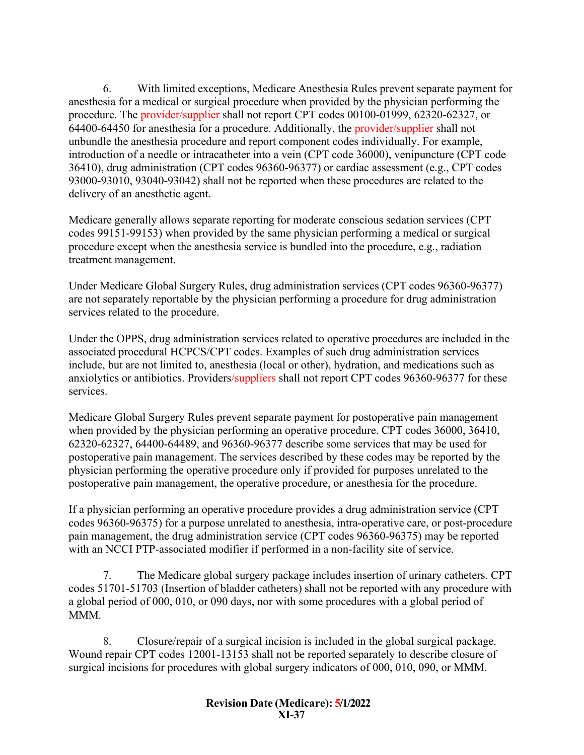6. With limited exceptions, Medicare Anesthesia Rules prevent separate payment for anesthesia for a medical or surgical procedure when provided by the physician performing the procedure. The provider/supplier shall not report CPT codes 00100-01999, 62320-62327, or 64400-64450 for anesthesia for a procedure. Additionally, the provider/supplier shall not unbundle the anesthesia procedure and report component codes individually. For example, introduction of a needle or intracatheter into a vein (CPT code 36000), venipuncture (CPT code 36410), drug administration (CPT codes 96360-96377) or cardiac assessment (e.g., CPT codes 93000-93010, 93040-93042) shall not be reported when these procedures are related to the delivery of an anesthetic agent.

Medicare generally allows separate reporting for moderate conscious sedation services (CPT codes 99151-99153) when provided by the same physician performing a medical or surgical procedure except when the anesthesia service is bundled into the procedure, e.g., radiation treatment management.

Under Medicare Global Surgery Rules, drug administration services (CPT codes 96360-96377) are not separately reportable by the physician performing a procedure for drug administration services related to the procedure.

Under the OPPS, drug administration services related to operative procedures are included in the associated procedural HCPCS/CPT codes. Examples of such drug administration services include, but are not limited to, anesthesia (local or other), hydration, and medications such as anxiolytics or antibiotics. Providers/suppliers shall not report CPT codes 96360-96377 for these services.

Medicare Global Surgery Rules prevent separate payment for postoperative pain management when provided by the physician performing an operative procedure. CPT codes 36000, 36410, 62320-62327, 64400-64489, and 96360-96377 describe some services that may be used for postoperative pain management. The services described by these codes may be reported by the physician performing the operative procedure only if provided for purposes unrelated to the postoperative pain management, the operative procedure, or anesthesia for the procedure.

If a physician performing an operative procedure provides a drug administration service (CPT codes 96360-96375) for a purpose unrelated to anesthesia, intra-operative care, or post-procedure pain management, the drug administration service (CPT codes 96360-96375) may be reported with an NCCI PTP-associated modifier if performed in a non-facility site of service.

7. The Medicare global surgery package includes insertion of urinary catheters. CPT codes 51701-51703 (Insertion of bladder catheters) shall not be reported with any procedure with a global period of 000, 010, or 090 days, nor with some procedures with a global period of MMM.

8. Closure/repair of a surgical incision is included in the global surgical package. Wound repair CPT codes 12001-13153 shall not be reported separately to describe closure of surgical incisions for procedures with global surgery indicators of 000, 010, 090, or MMM.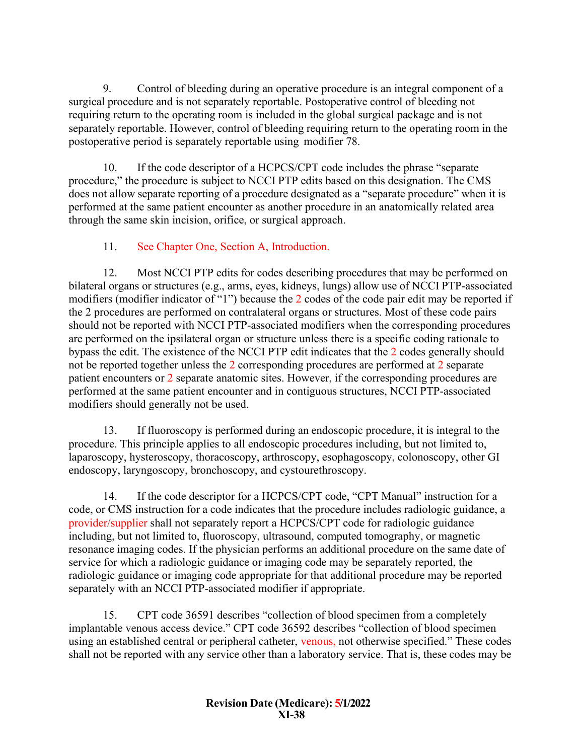9. Control of bleeding during an operative procedure is an integral component of a surgical procedure and is not separately reportable. Postoperative control of bleeding not requiring return to the operating room is included in the global surgical package and is not separately reportable. However, control of bleeding requiring return to the operating room in the postoperative period is separately reportable using modifier 78.

10. If the code descriptor of a HCPCS/CPT code includes the phrase "separate procedure," the procedure is subject to NCCI PTP edits based on this designation. The CMS does not allow separate reporting of a procedure designated as a "separate procedure" when it is performed at the same patient encounter as another procedure in an anatomically related area through the same skin incision, orifice, or surgical approach.

# 11. See Chapter One, Section A, Introduction.

12. Most NCCI PTP edits for codes describing procedures that may be performed on bilateral organs or structures (e.g., arms, eyes, kidneys, lungs) allow use of NCCI PTP-associated modifiers (modifier indicator of "1") because the 2 codes of the code pair edit may be reported if the 2 procedures are performed on contralateral organs or structures. Most of these code pairs should not be reported with NCCI PTP-associated modifiers when the corresponding procedures are performed on the ipsilateral organ or structure unless there is a specific coding rationale to bypass the edit. The existence of the NCCI PTP edit indicates that the 2 codes generally should not be reported together unless the 2 corresponding procedures are performed at 2 separate patient encounters or 2 separate anatomic sites. However, if the corresponding procedures are performed at the same patient encounter and in contiguous structures, NCCI PTP-associated modifiers should generally not be used.

13. If fluoroscopy is performed during an endoscopic procedure, it is integral to the procedure. This principle applies to all endoscopic procedures including, but not limited to, laparoscopy, hysteroscopy, thoracoscopy, arthroscopy, esophagoscopy, colonoscopy, other GI endoscopy, laryngoscopy, bronchoscopy, and cystourethroscopy.

14. If the code descriptor for a HCPCS/CPT code, "CPT Manual" instruction for a code, or CMS instruction for a code indicates that the procedure includes radiologic guidance, a provider/supplier shall not separately report a HCPCS/CPT code for radiologic guidance including, but not limited to, fluoroscopy, ultrasound, computed tomography, or magnetic resonance imaging codes. If the physician performs an additional procedure on the same date of service for which a radiologic guidance or imaging code may be separately reported, the radiologic guidance or imaging code appropriate for that additional procedure may be reported separately with an NCCI PTP-associated modifier if appropriate.

15. CPT code 36591 describes "collection of blood specimen from a completely implantable venous access device." CPT code 36592 describes "collection of blood specimen using an established central or peripheral catheter, venous, not otherwise specified." These codes shall not be reported with any service other than a laboratory service. That is, these codes may be